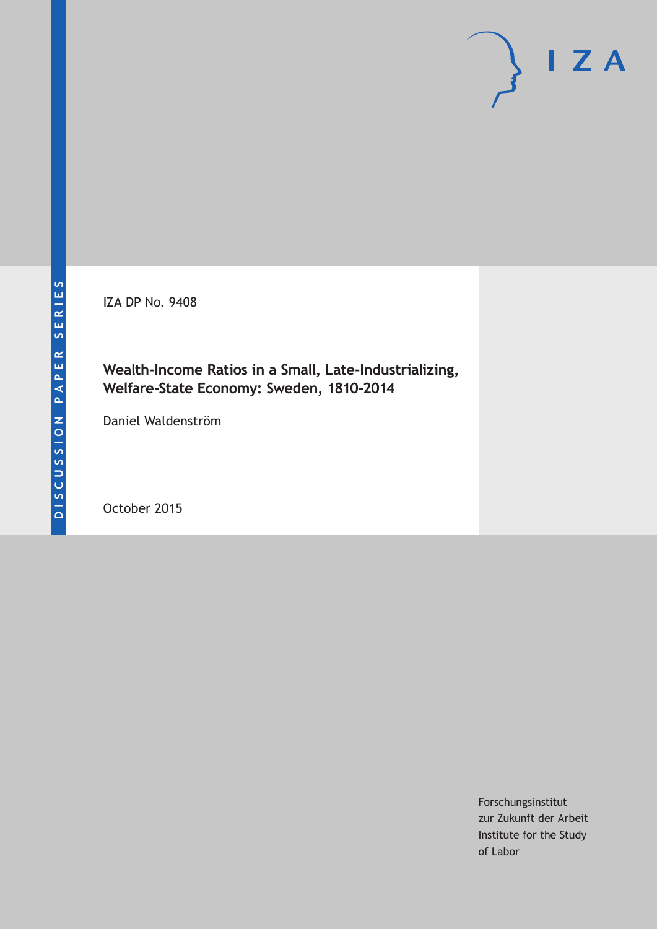IZA DP No. 9408

## **Wealth-Income Ratios in a Small, Late-Industrializing, Welfare-State Economy: Sweden, 1810–2014**

Daniel Waldenström

October 2015

Forschungsinstitut zur Zukunft der Arbeit Institute for the Study of Labor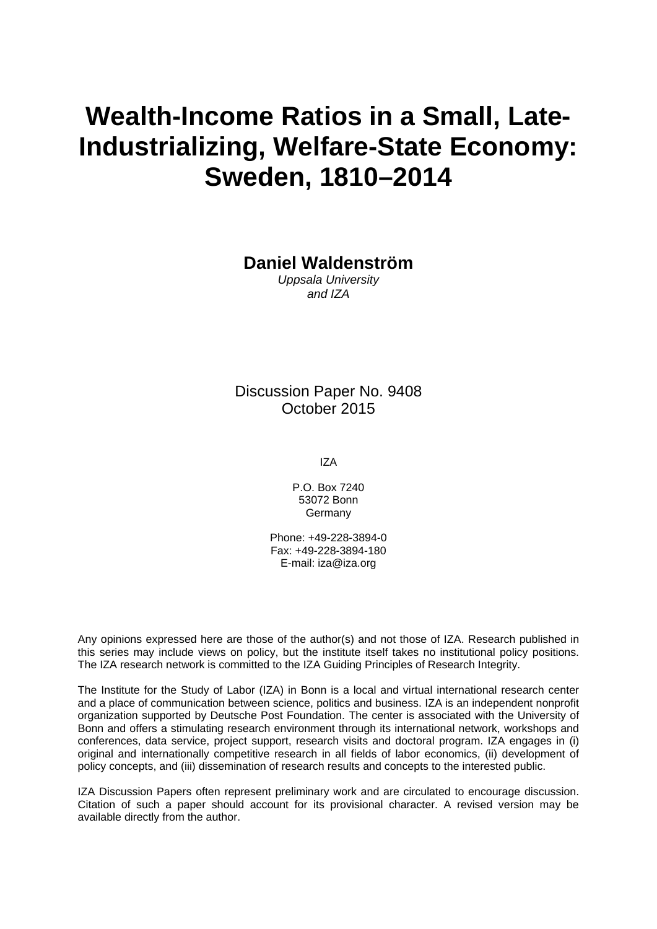# **Wealth-Income Ratios in a Small, Late-Industrializing, Welfare-State Economy: Sweden, 1810–2014**

**Daniel Waldenström** 

*Uppsala University and IZA* 

Discussion Paper No. 9408 October 2015

IZA

P.O. Box 7240 53072 Bonn Germany

Phone: +49-228-3894-0 Fax: +49-228-3894-180 E-mail: iza@iza.org

Any opinions expressed here are those of the author(s) and not those of IZA. Research published in this series may include views on policy, but the institute itself takes no institutional policy positions. The IZA research network is committed to the IZA Guiding Principles of Research Integrity.

The Institute for the Study of Labor (IZA) in Bonn is a local and virtual international research center and a place of communication between science, politics and business. IZA is an independent nonprofit organization supported by Deutsche Post Foundation. The center is associated with the University of Bonn and offers a stimulating research environment through its international network, workshops and conferences, data service, project support, research visits and doctoral program. IZA engages in (i) original and internationally competitive research in all fields of labor economics, (ii) development of policy concepts, and (iii) dissemination of research results and concepts to the interested public.

IZA Discussion Papers often represent preliminary work and are circulated to encourage discussion. Citation of such a paper should account for its provisional character. A revised version may be available directly from the author.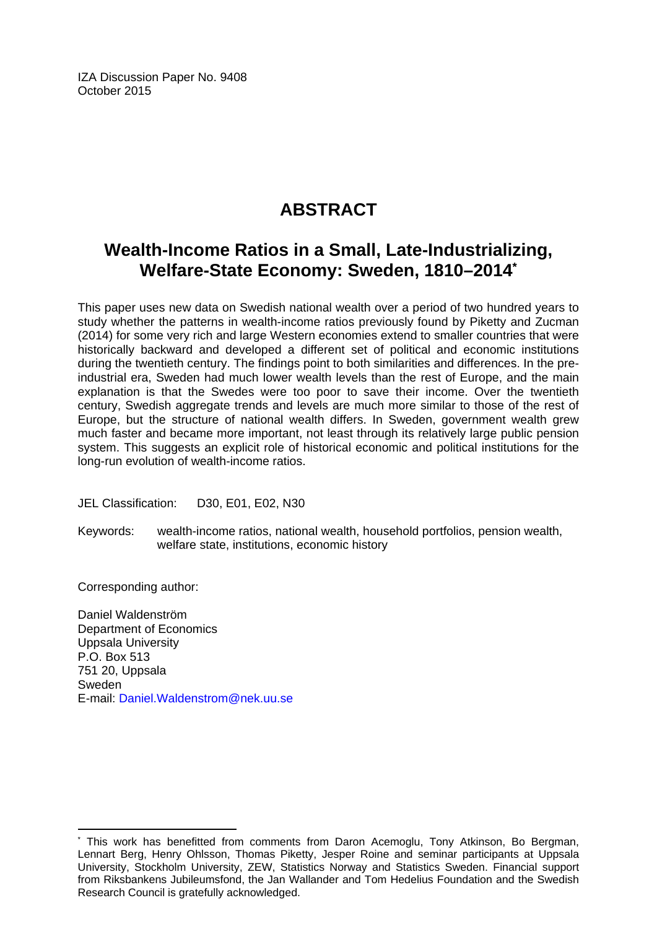IZA Discussion Paper No. 9408 October 2015

# **ABSTRACT**

# **Wealth-Income Ratios in a Small, Late-Industrializing, Welfare-State Economy: Sweden, 1810–2014\***

This paper uses new data on Swedish national wealth over a period of two hundred years to study whether the patterns in wealth-income ratios previously found by Piketty and Zucman (2014) for some very rich and large Western economies extend to smaller countries that were historically backward and developed a different set of political and economic institutions during the twentieth century. The findings point to both similarities and differences. In the preindustrial era, Sweden had much lower wealth levels than the rest of Europe, and the main explanation is that the Swedes were too poor to save their income. Over the twentieth century. Swedish aggregate trends and levels are much more similar to those of the rest of Europe, but the structure of national wealth differs. In Sweden, government wealth grew much faster and became more important, not least through its relatively large public pension system. This suggests an explicit role of historical economic and political institutions for the long-run evolution of wealth-income ratios.

JEL Classification: D30, E01, E02, N30

Keywords: wealth-income ratios, national wealth, household portfolios, pension wealth, welfare state, institutions, economic history

Corresponding author:

 $\overline{a}$ 

Daniel Waldenström Department of Economics Uppsala University P.O. Box 513 751 20, Uppsala Sweden E-mail: Daniel.Waldenstrom@nek.uu.se

<sup>\*</sup> This work has benefitted from comments from Daron Acemoglu, Tony Atkinson, Bo Bergman, Lennart Berg, Henry Ohlsson, Thomas Piketty, Jesper Roine and seminar participants at Uppsala University, Stockholm University, ZEW, Statistics Norway and Statistics Sweden. Financial support from Riksbankens Jubileumsfond, the Jan Wallander and Tom Hedelius Foundation and the Swedish Research Council is gratefully acknowledged.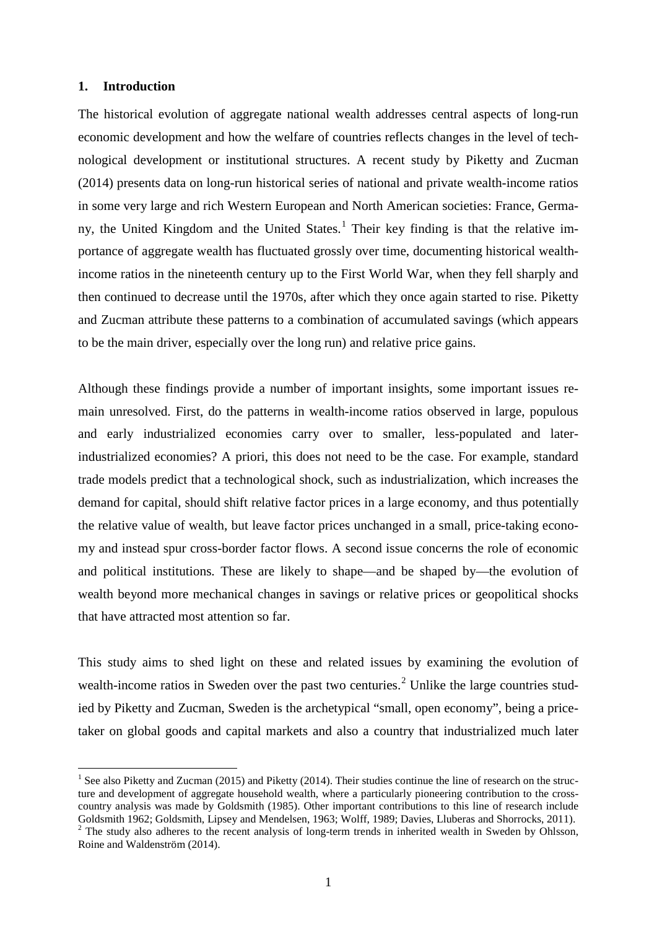#### **1. Introduction**

The historical evolution of aggregate national wealth addresses central aspects of long-run economic development and how the welfare of countries reflects changes in the level of technological development or institutional structures. A recent study by Piketty and Zucman (2014) presents data on long-run historical series of national and private wealth-income ratios in some very large and rich Western European and North American societies: France, Germa-ny, the United Kingdom and the United States.<sup>[1](#page-3-0)</sup> Their key finding is that the relative importance of aggregate wealth has fluctuated grossly over time, documenting historical wealthincome ratios in the nineteenth century up to the First World War, when they fell sharply and then continued to decrease until the 1970s, after which they once again started to rise. Piketty and Zucman attribute these patterns to a combination of accumulated savings (which appears to be the main driver, especially over the long run) and relative price gains.

Although these findings provide a number of important insights, some important issues remain unresolved. First, do the patterns in wealth-income ratios observed in large, populous and early industrialized economies carry over to smaller, less-populated and laterindustrialized economies? A priori, this does not need to be the case. For example, standard trade models predict that a technological shock, such as industrialization, which increases the demand for capital, should shift relative factor prices in a large economy, and thus potentially the relative value of wealth, but leave factor prices unchanged in a small, price-taking economy and instead spur cross-border factor flows. A second issue concerns the role of economic and political institutions. These are likely to shape—and be shaped by—the evolution of wealth beyond more mechanical changes in savings or relative prices or geopolitical shocks that have attracted most attention so far.

This study aims to shed light on these and related issues by examining the evolution of wealth-income ratios in Sweden over the past two centuries.<sup>[2](#page-3-1)</sup> Unlike the large countries studied by Piketty and Zucman, Sweden is the archetypical "small, open economy", being a pricetaker on global goods and capital markets and also a country that industrialized much later

<span id="page-3-0"></span><sup>&</sup>lt;sup>1</sup> See also Piketty and Zucman (2015) and Piketty (2014). Their studies continue the line of research on the structure and development of aggregate household wealth, where a particularly pioneering contribution to the crosscountry analysis was made by Goldsmith (1985). Other important contributions to this line of research include Goldsmith 1962; Goldsmith, Lipsey and Mendelsen, 1963; Wolff, 1989; Davies, Lluberas and Shorrocks, 2011).  $\overline{a}$ 

<span id="page-3-1"></span><sup>&</sup>lt;sup>2</sup> The study also adheres to the recent analysis of long-term trends in inherited wealth in Sweden by Ohlsson, Roine and Waldenström (2014).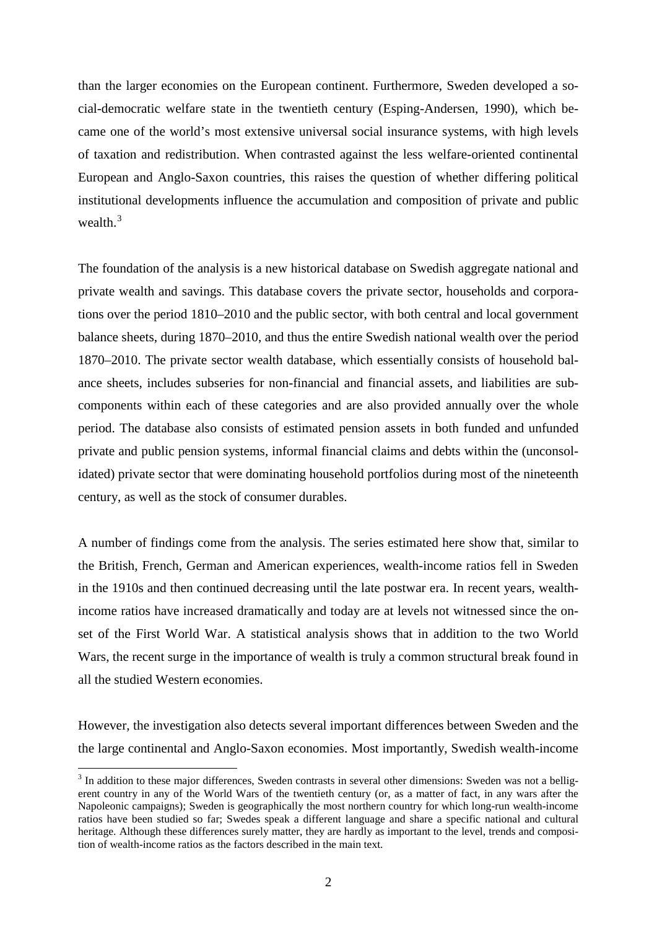than the larger economies on the European continent. Furthermore, Sweden developed a social-democratic welfare state in the twentieth century (Esping-Andersen, 1990), which became one of the world's most extensive universal social insurance systems, with high levels of taxation and redistribution. When contrasted against the less welfare-oriented continental European and Anglo-Saxon countries, this raises the question of whether differing political institutional developments influence the accumulation and composition of private and public wealth.<sup>[3](#page-4-0)</sup>

The foundation of the analysis is a new historical database on Swedish aggregate national and private wealth and savings. This database covers the private sector, households and corporations over the period 1810–2010 and the public sector, with both central and local government balance sheets, during 1870–2010, and thus the entire Swedish national wealth over the period 1870–2010. The private sector wealth database, which essentially consists of household balance sheets, includes subseries for non-financial and financial assets, and liabilities are subcomponents within each of these categories and are also provided annually over the whole period. The database also consists of estimated pension assets in both funded and unfunded private and public pension systems, informal financial claims and debts within the (unconsolidated) private sector that were dominating household portfolios during most of the nineteenth century, as well as the stock of consumer durables.

A number of findings come from the analysis. The series estimated here show that, similar to the British, French, German and American experiences, wealth-income ratios fell in Sweden in the 1910s and then continued decreasing until the late postwar era. In recent years, wealthincome ratios have increased dramatically and today are at levels not witnessed since the onset of the First World War. A statistical analysis shows that in addition to the two World Wars, the recent surge in the importance of wealth is truly a common structural break found in all the studied Western economies.

However, the investigation also detects several important differences between Sweden and the the large continental and Anglo-Saxon economies. Most importantly, Swedish wealth-income

<span id="page-4-0"></span><sup>&</sup>lt;sup>3</sup> In addition to these major differences. Sweden contrasts in several other dimensions: Sweden was not a belligerent country in any of the World Wars of the twentieth century (or, as a matter of fact, in any wars after the Napoleonic campaigns); Sweden is geographically the most northern country for which long-run wealth-income ratios have been studied so far; Swedes speak a different language and share a specific national and cultural heritage. Although these differences surely matter, they are hardly as important to the level, trends and composition of wealth-income ratios as the factors described in the main text.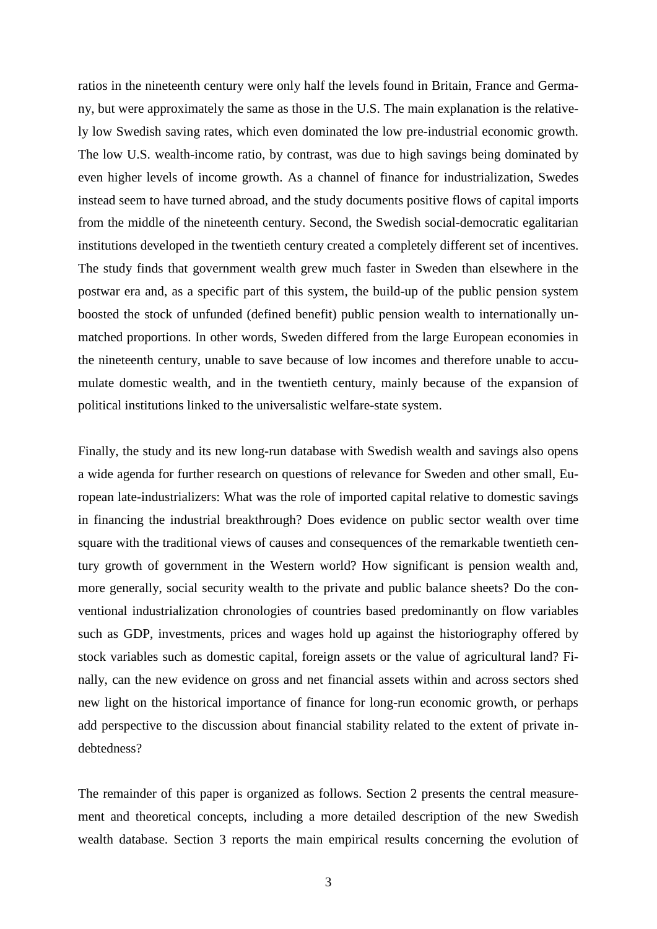ratios in the nineteenth century were only half the levels found in Britain, France and Germany, but were approximately the same as those in the U.S. The main explanation is the relatively low Swedish saving rates, which even dominated the low pre-industrial economic growth. The low U.S. wealth-income ratio, by contrast, was due to high savings being dominated by even higher levels of income growth. As a channel of finance for industrialization, Swedes instead seem to have turned abroad, and the study documents positive flows of capital imports from the middle of the nineteenth century. Second, the Swedish social-democratic egalitarian institutions developed in the twentieth century created a completely different set of incentives. The study finds that government wealth grew much faster in Sweden than elsewhere in the postwar era and, as a specific part of this system, the build-up of the public pension system boosted the stock of unfunded (defined benefit) public pension wealth to internationally unmatched proportions. In other words, Sweden differed from the large European economies in the nineteenth century, unable to save because of low incomes and therefore unable to accumulate domestic wealth, and in the twentieth century, mainly because of the expansion of political institutions linked to the universalistic welfare-state system.

Finally, the study and its new long-run database with Swedish wealth and savings also opens a wide agenda for further research on questions of relevance for Sweden and other small, European late-industrializers: What was the role of imported capital relative to domestic savings in financing the industrial breakthrough? Does evidence on public sector wealth over time square with the traditional views of causes and consequences of the remarkable twentieth century growth of government in the Western world? How significant is pension wealth and, more generally, social security wealth to the private and public balance sheets? Do the conventional industrialization chronologies of countries based predominantly on flow variables such as GDP, investments, prices and wages hold up against the historiography offered by stock variables such as domestic capital, foreign assets or the value of agricultural land? Finally, can the new evidence on gross and net financial assets within and across sectors shed new light on the historical importance of finance for long-run economic growth, or perhaps add perspective to the discussion about financial stability related to the extent of private indebtedness?

The remainder of this paper is organized as follows. Section 2 presents the central measurement and theoretical concepts, including a more detailed description of the new Swedish wealth database. Section 3 reports the main empirical results concerning the evolution of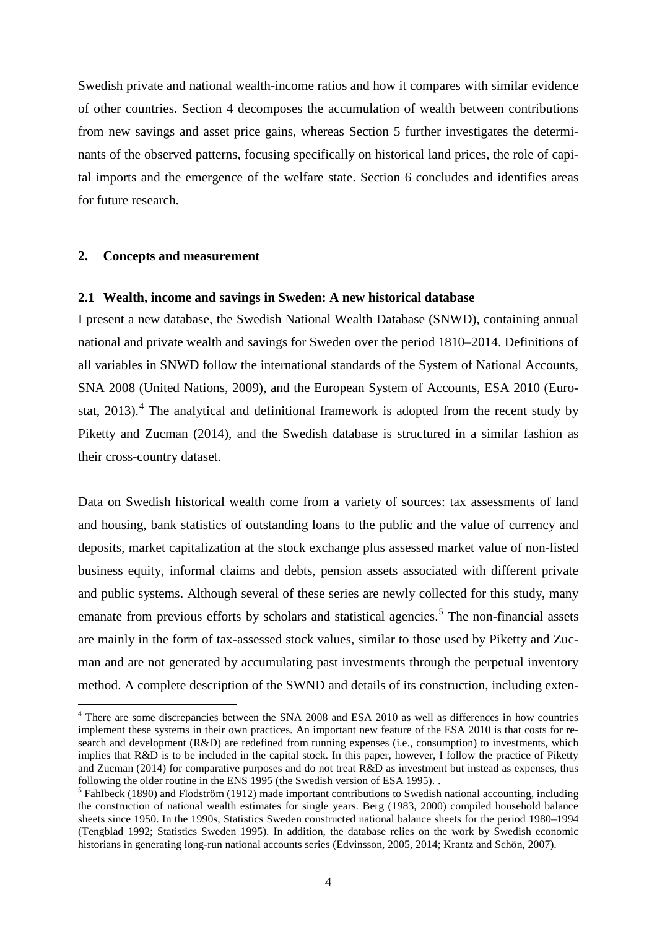Swedish private and national wealth-income ratios and how it compares with similar evidence of other countries. Section 4 decomposes the accumulation of wealth between contributions from new savings and asset price gains, whereas Section 5 further investigates the determinants of the observed patterns, focusing specifically on historical land prices, the role of capital imports and the emergence of the welfare state. Section 6 concludes and identifies areas for future research.

#### **2. Concepts and measurement**

 $\overline{a}$ 

#### **2.1 Wealth, income and savings in Sweden: A new historical database**

I present a new database, the Swedish National Wealth Database (SNWD), containing annual national and private wealth and savings for Sweden over the period 1810–2014. Definitions of all variables in SNWD follow the international standards of the System of National Accounts, SNA 2008 (United Nations, 2009), and the European System of Accounts, ESA 2010 (Eurostat,  $2013$ ).<sup>[4](#page-6-0)</sup> The analytical and definitional framework is adopted from the recent study by Piketty and Zucman (2014), and the Swedish database is structured in a similar fashion as their cross-country dataset.

Data on Swedish historical wealth come from a variety of sources: tax assessments of land and housing, bank statistics of outstanding loans to the public and the value of currency and deposits, market capitalization at the stock exchange plus assessed market value of non-listed business equity, informal claims and debts, pension assets associated with different private and public systems. Although several of these series are newly collected for this study, many emanate from previous efforts by scholars and statistical agencies.<sup>[5](#page-6-1)</sup> The non-financial assets are mainly in the form of tax-assessed stock values, similar to those used by Piketty and Zucman and are not generated by accumulating past investments through the perpetual inventory method. A complete description of the SWND and details of its construction, including exten-

<span id="page-6-0"></span><sup>&</sup>lt;sup>4</sup> There are some discrepancies between the SNA 2008 and ESA 2010 as well as differences in how countries implement these systems in their own practices. An important new feature of the ESA 2010 is that costs for research and development (R&D) are redefined from running expenses (i.e., consumption) to investments, which implies that R&D is to be included in the capital stock. In this paper, however, I follow the practice of Piketty and Zucman (2014) for comparative purposes and do not treat  $R&D$  as investment but instead as expenses, thus following the older routine in the ENS 1995 (the Swedish version of ESA 1995).

<span id="page-6-1"></span><sup>&</sup>lt;sup>5</sup> Fahlbeck (1890) and Flodström (1912) made important contributions to Swedish national accounting, including the construction of national wealth estimates for single years. Berg (1983, 2000) compiled household balance sheets since 1950. In the 1990s, Statistics Sweden constructed national balance sheets for the period 1980–1994 (Tengblad 1992; Statistics Sweden 1995). In addition, the database relies on the work by Swedish economic historians in generating long-run national accounts series (Edvinsson, 2005, 2014; Krantz and Schön, 2007).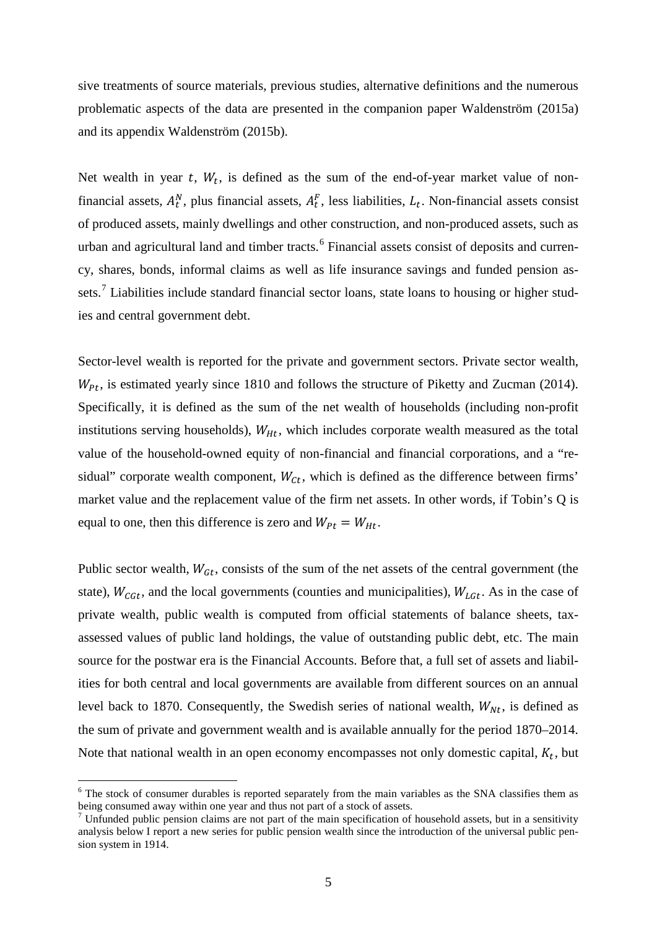sive treatments of source materials, previous studies, alternative definitions and the numerous problematic aspects of the data are presented in the companion paper Waldenström (2015a) and its appendix Waldenström (2015b).

Net wealth in year t,  $W_t$ , is defined as the sum of the end-of-year market value of nonfinancial assets,  $A_t^N$ , plus financial assets,  $A_t^F$ , less liabilities,  $L_t$ . Non-financial assets consist of produced assets, mainly dwellings and other construction, and non-produced assets, such as urban and agricultural land and timber tracts.<sup>[6](#page-7-0)</sup> Financial assets consist of deposits and currency, shares, bonds, informal claims as well as life insurance savings and funded pension as-sets.<sup>[7](#page-7-1)</sup> Liabilities include standard financial sector loans, state loans to housing or higher studies and central government debt.

Sector-level wealth is reported for the private and government sectors. Private sector wealth,  $W_{Pt}$ , is estimated yearly since 1810 and follows the structure of Piketty and Zucman (2014). Specifically, it is defined as the sum of the net wealth of households (including non-profit institutions serving households),  $W_{Ht}$ , which includes corporate wealth measured as the total value of the household-owned equity of non-financial and financial corporations, and a "residual" corporate wealth component,  $W_{C_t}$ , which is defined as the difference between firms' market value and the replacement value of the firm net assets. In other words, if Tobin's Q is equal to one, then this difference is zero and  $W_{Pt} = W_{Ht}$ .

Public sector wealth,  $W_{\text{G}t}$ , consists of the sum of the net assets of the central government (the state),  $W_{CGL}$ , and the local governments (counties and municipalities),  $W_{LGL}$ . As in the case of private wealth, public wealth is computed from official statements of balance sheets, taxassessed values of public land holdings, the value of outstanding public debt, etc. The main source for the postwar era is the Financial Accounts. Before that, a full set of assets and liabilities for both central and local governments are available from different sources on an annual level back to 1870. Consequently, the Swedish series of national wealth,  $W_{N_t}$ , is defined as the sum of private and government wealth and is available annually for the period 1870–2014. Note that national wealth in an open economy encompasses not only domestic capital,  $K_t$ , but

<span id="page-7-0"></span><sup>&</sup>lt;sup>6</sup> The stock of consumer durables is reported separately from the main variables as the SNA classifies them as being consumed away within one year and thus not part of a stock of assets.

<span id="page-7-1"></span><sup>&</sup>lt;sup>7</sup> Unfunded public pension claims are not part of the main specification of household assets, but in a sensitivity analysis below I report a new series for public pension wealth since the introduction of the universal public pension system in 1914.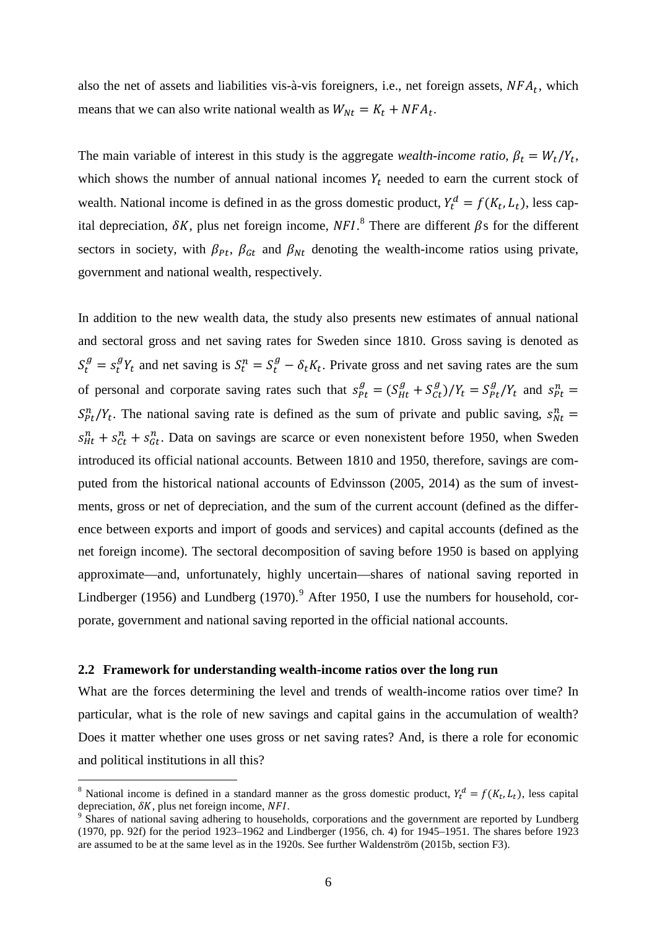also the net of assets and liabilities vis-à-vis foreigners, i.e., net foreign assets,  $NFA_t$ , which means that we can also write national wealth as  $W_{Nt} = K_t + NFA_t$ .

The main variable of interest in this study is the aggregate *wealth-income ratio*,  $\beta_t = W_t/Y_t$ , which shows the number of annual national incomes  $Y_t$  needed to earn the current stock of wealth. National income is defined in as the gross domestic product,  $Y_t^d = f(K_t, L_t)$ , less capital depreciation,  $\delta K$ , plus net foreign income,  $NFI$ <sup>[8](#page-8-0)</sup>. There are different  $\beta s$  for the different sectors in society, with  $\beta_{Pt}$ ,  $\beta_{Gt}$  and  $\beta_{Nt}$  denoting the wealth-income ratios using private, government and national wealth, respectively.

In addition to the new wealth data, the study also presents new estimates of annual national and sectoral gross and net saving rates for Sweden since 1810. Gross saving is denoted as  $S_t^g = s_t^g Y_t$  and net saving is  $S_t^n = S_t^g - \delta_t K_t$ . Private gross and net saving rates are the sum of personal and corporate saving rates such that  $s_{Pt}^g = (S_{Ht}^g + S_{Ct}^g)/Y_t = S_{Pt}^g/Y_t$  and  $s_{Pt}^n =$  $S_{Pt}^{n}/Y_t$ . The national saving rate is defined as the sum of private and public saving,  $S_{Nt}^{n}$  =  $s_{Ht}^{n} + s_{Ct}^{n} + s_{Gt}^{n}$ . Data on savings are scarce or even nonexistent before 1950, when Sweden introduced its official national accounts. Between 1810 and 1950, therefore, savings are computed from the historical national accounts of Edvinsson (2005, 2014) as the sum of investments, gross or net of depreciation, and the sum of the current account (defined as the difference between exports and import of goods and services) and capital accounts (defined as the net foreign income). The sectoral decomposition of saving before 1950 is based on applying approximate—and, unfortunately, highly uncertain—shares of national saving reported in Lindberger (1[9](#page-8-1)56) and Lundberg (1970).<sup>9</sup> After 1950, I use the numbers for household, corporate, government and national saving reported in the official national accounts.

#### **2.2 Framework for understanding wealth-income ratios over the long run**

 $\overline{a}$ 

What are the forces determining the level and trends of wealth-income ratios over time? In particular, what is the role of new savings and capital gains in the accumulation of wealth? Does it matter whether one uses gross or net saving rates? And, is there a role for economic and political institutions in all this?

<span id="page-8-0"></span><sup>&</sup>lt;sup>8</sup> National income is defined in a standard manner as the gross domestic product,  $Y_t^d = f(K_t, L_t)$ , less capital depreciation,  $\delta K$ , plus net foreign income,  $NFI$ .<br><sup>9</sup> Shares of national saving adhering to households, corporations and the government are reported by Lundberg

<span id="page-8-1"></span><sup>(1970,</sup> pp. 92f) for the period 1923–1962 and Lindberger (1956, ch. 4) for 1945–1951. The shares before 1923 are assumed to be at the same level as in the 1920s. See further Waldenström (2015b, section F3).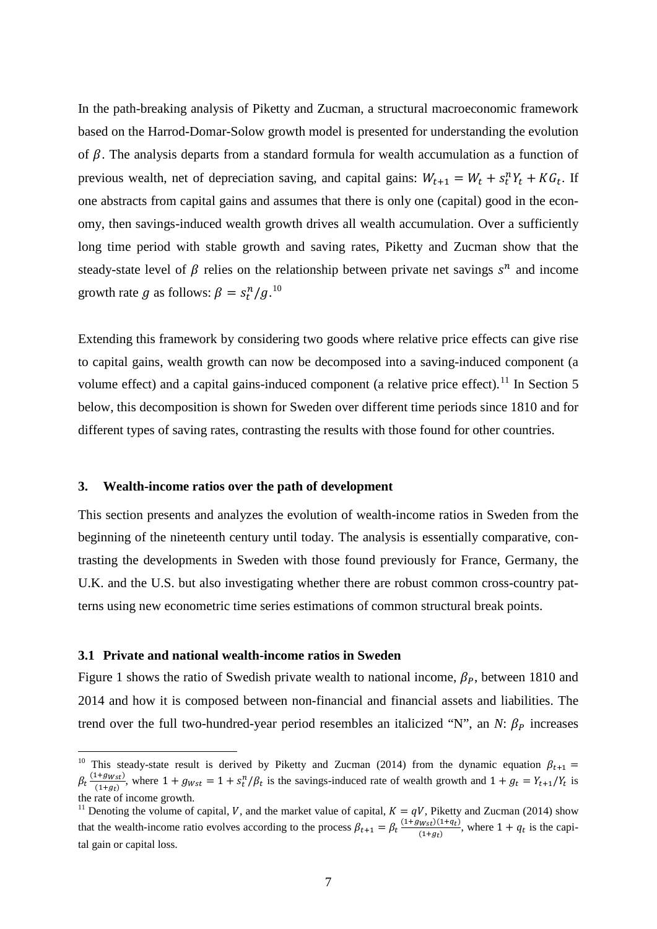In the path-breaking analysis of Piketty and Zucman, a structural macroeconomic framework based on the Harrod-Domar-Solow growth model is presented for understanding the evolution of  $\beta$ . The analysis departs from a standard formula for wealth accumulation as a function of previous wealth, net of depreciation saving, and capital gains:  $W_{t+1} = W_t + s_t^n Y_t + KG_t$ . If one abstracts from capital gains and assumes that there is only one (capital) good in the economy, then savings-induced wealth growth drives all wealth accumulation. Over a sufficiently long time period with stable growth and saving rates, Piketty and Zucman show that the steady-state level of  $\beta$  relies on the relationship between private net savings  $s^n$  and income growth rate g as follows:  $\beta = s_t^n/g$ .<sup>[10](#page-9-0)</sup>

Extending this framework by considering two goods where relative price effects can give rise to capital gains, wealth growth can now be decomposed into a saving-induced component (a volume effect) and a capital gains-induced component (a relative price effect).<sup>[11](#page-9-1)</sup> In Section 5 below, this decomposition is shown for Sweden over different time periods since 1810 and for different types of saving rates, contrasting the results with those found for other countries.

#### **3. Wealth-income ratios over the path of development**

This section presents and analyzes the evolution of wealth-income ratios in Sweden from the beginning of the nineteenth century until today. The analysis is essentially comparative, contrasting the developments in Sweden with those found previously for France, Germany, the U.K. and the U.S. but also investigating whether there are robust common cross-country patterns using new econometric time series estimations of common structural break points.

#### **3.1 Private and national wealth-income ratios in Sweden**

 $\overline{a}$ 

[Figure 1](#page-31-0) shows the ratio of Swedish private wealth to national income,  $\beta_P$ , between 1810 and 2014 and how it is composed between non-financial and financial assets and liabilities. The trend over the full two-hundred-year period resembles an italicized "N", an *N*:  $\beta_p$  increases

<span id="page-9-0"></span><sup>&</sup>lt;sup>10</sup> This steady-state result is derived by Piketty and Zucman (2014) from the dynamic equation  $\beta_{t+1} =$  $\beta_t \frac{(1+g_{Wst})}{(1+g_t)}$ , where  $1+g_{Wst}=1+s_t^n/\beta_t$  is the savings-induced rate of wealth growth and  $1+g_t=Y_{t+1}/Y_t$  is the rate of income growth.

<span id="page-9-1"></span><sup>&</sup>lt;sup>11</sup> Denoting the volume of capital, V, and the market value of capital,  $K = qV$ , Piketty and Zucman (2014) show that the wealth-income ratio evolves according to the process  $\beta_{t+1} = \beta_t \frac{(1+g_{Wst})(1+q_t)}{(1+g_t)}$ , where  $1+q_t$  is the capital gain or capital loss.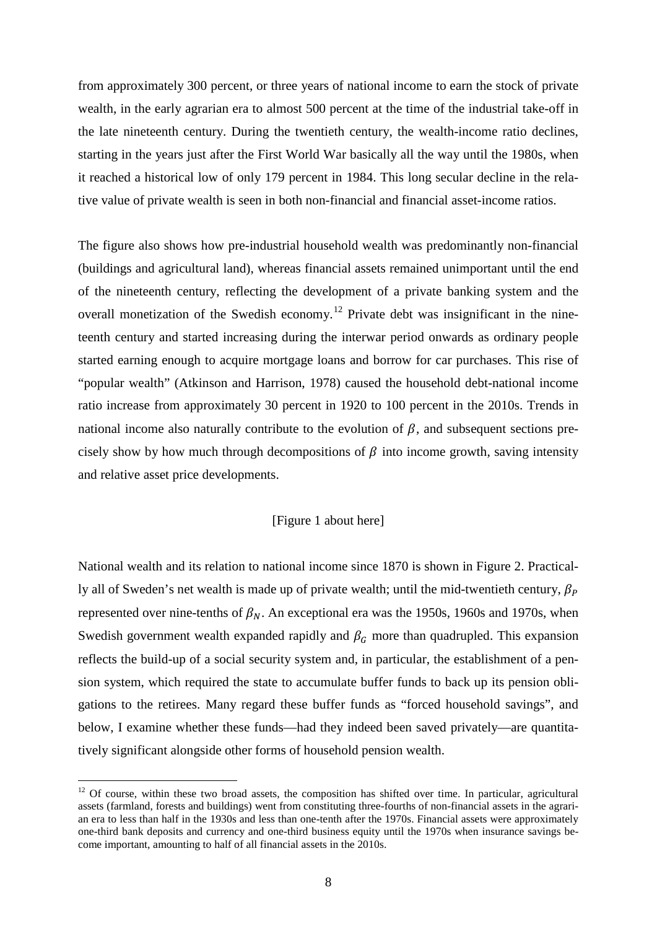from approximately 300 percent, or three years of national income to earn the stock of private wealth, in the early agrarian era to almost 500 percent at the time of the industrial take-off in the late nineteenth century. During the twentieth century, the wealth-income ratio declines, starting in the years just after the First World War basically all the way until the 1980s, when it reached a historical low of only 179 percent in 1984. This long secular decline in the relative value of private wealth is seen in both non-financial and financial asset-income ratios.

The figure also shows how pre-industrial household wealth was predominantly non-financial (buildings and agricultural land), whereas financial assets remained unimportant until the end of the nineteenth century, reflecting the development of a private banking system and the overall monetization of the Swedish economy.<sup>[12](#page-10-0)</sup> Private debt was insignificant in the nineteenth century and started increasing during the interwar period onwards as ordinary people started earning enough to acquire mortgage loans and borrow for car purchases. This rise of "popular wealth" (Atkinson and Harrison, 1978) caused the household debt-national income ratio increase from approximately 30 percent in 1920 to 100 percent in the 2010s. Trends in national income also naturally contribute to the evolution of  $\beta$ , and subsequent sections precisely show by how much through decompositions of  $\beta$  into income growth, saving intensity and relative asset price developments.

#### [\[Figure 1](#page-31-0) about here]

National wealth and its relation to national income since 1870 is shown in [Figure 2.](#page-32-0) Practically all of Sweden's net wealth is made up of private wealth; until the mid-twentieth century,  $\beta_P$ represented over nine-tenths of  $\beta_N$ . An exceptional era was the 1950s, 1960s and 1970s, when Swedish government wealth expanded rapidly and  $\beta<sub>G</sub>$  more than quadrupled. This expansion reflects the build-up of a social security system and, in particular, the establishment of a pension system, which required the state to accumulate buffer funds to back up its pension obligations to the retirees. Many regard these buffer funds as "forced household savings", and below, I examine whether these funds—had they indeed been saved privately—are quantitatively significant alongside other forms of household pension wealth.

<span id="page-10-0"></span> $12$  Of course, within these two broad assets, the composition has shifted over time. In particular, agricultural assets (farmland, forests and buildings) went from constituting three-fourths of non-financial assets in the agrarian era to less than half in the 1930s and less than one-tenth after the 1970s. Financial assets were approximately one-third bank deposits and currency and one-third business equity until the 1970s when insurance savings become important, amounting to half of all financial assets in the 2010s.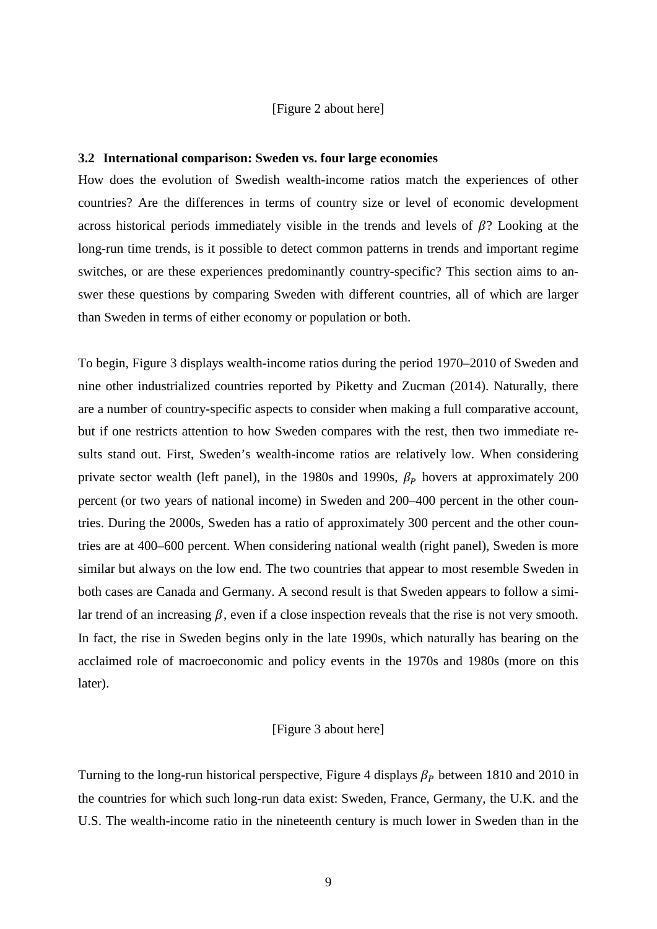#### [\[Figure 2](#page-32-0) about here]

#### **3.2 International comparison: Sweden vs. four large economies**

How does the evolution of Swedish wealth-income ratios match the experiences of other countries? Are the differences in terms of country size or level of economic development across historical periods immediately visible in the trends and levels of  $\beta$ ? Looking at the long-run time trends, is it possible to detect common patterns in trends and important regime switches, or are these experiences predominantly country-specific? This section aims to answer these questions by comparing Sweden with different countries, all of which are larger than Sweden in terms of either economy or population or both.

To begin, [Figure 3](#page-33-0) displays wealth-income ratios during the period 1970–2010 of Sweden and nine other industrialized countries reported by Piketty and Zucman (2014). Naturally, there are a number of country-specific aspects to consider when making a full comparative account, but if one restricts attention to how Sweden compares with the rest, then two immediate results stand out. First, Sweden's wealth-income ratios are relatively low. When considering private sector wealth (left panel), in the 1980s and 1990s,  $\beta_P$  hovers at approximately 200 percent (or two years of national income) in Sweden and 200–400 percent in the other countries. During the 2000s, Sweden has a ratio of approximately 300 percent and the other countries are at 400–600 percent. When considering national wealth (right panel), Sweden is more similar but always on the low end. The two countries that appear to most resemble Sweden in both cases are Canada and Germany. A second result is that Sweden appears to follow a similar trend of an increasing  $\beta$ , even if a close inspection reveals that the rise is not very smooth. In fact, the rise in Sweden begins only in the late 1990s, which naturally has bearing on the acclaimed role of macroeconomic and policy events in the 1970s and 1980s (more on this later).

#### [\[Figure 3](#page-33-0) about here]

Turning to the long-run historical perspective, Figure 4 displays  $\beta_P$  between 1810 and 2010 in the countries for which such long-run data exist: Sweden, France, Germany, the U.K. and the U.S. The wealth-income ratio in the nineteenth century is much lower in Sweden than in the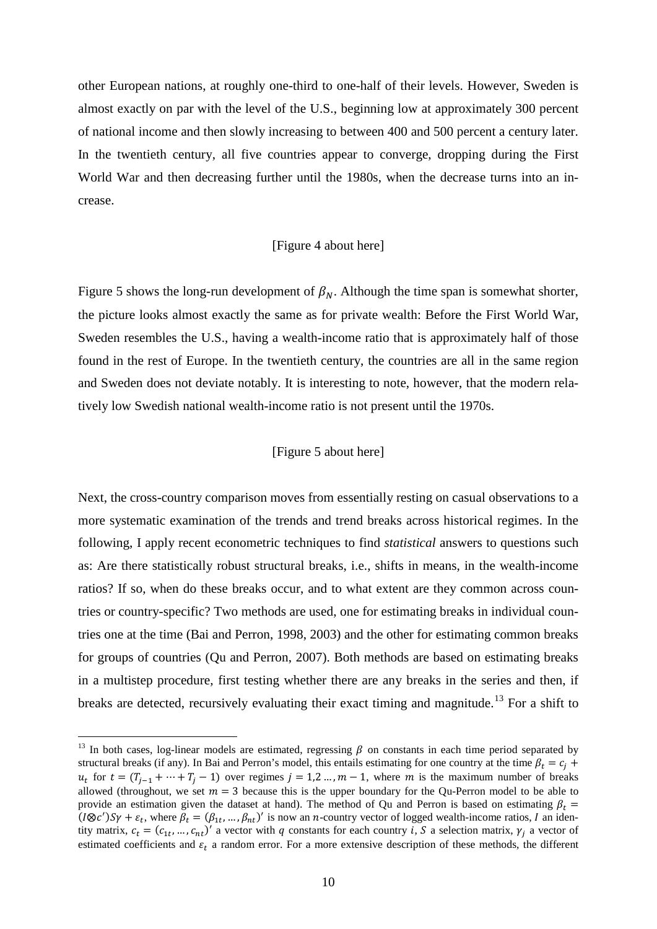other European nations, at roughly one-third to one-half of their levels. However, Sweden is almost exactly on par with the level of the U.S., beginning low at approximately 300 percent of national income and then slowly increasing to between 400 and 500 percent a century later. In the twentieth century, all five countries appear to converge, dropping during the First World War and then decreasing further until the 1980s, when the decrease turns into an increase.

#### [\[Figure 4](#page-34-0) about here]

Figure 5 shows the long-run development of  $\beta_N$ . Although the time span is somewhat shorter, the picture looks almost exactly the same as for private wealth: Before the First World War, Sweden resembles the U.S., having a wealth-income ratio that is approximately half of those found in the rest of Europe. In the twentieth century, the countries are all in the same region and Sweden does not deviate notably. It is interesting to note, however, that the modern relatively low Swedish national wealth-income ratio is not present until the 1970s.

#### [\[Figure 5](#page-35-0) about here]

Next, the cross-country comparison moves from essentially resting on casual observations to a more systematic examination of the trends and trend breaks across historical regimes. In the following, I apply recent econometric techniques to find *statistical* answers to questions such as: Are there statistically robust structural breaks, i.e., shifts in means, in the wealth-income ratios? If so, when do these breaks occur, and to what extent are they common across countries or country-specific? Two methods are used, one for estimating breaks in individual countries one at the time (Bai and Perron, 1998, 2003) and the other for estimating common breaks for groups of countries (Qu and Perron, 2007). Both methods are based on estimating breaks in a multistep procedure, first testing whether there are any breaks in the series and then, if breaks are detected, recursively evaluating their exact timing and magnitude.<sup>[13](#page-12-0)</sup> For a shift to

<span id="page-12-0"></span><sup>&</sup>lt;sup>13</sup> In both cases, log-linear models are estimated, regressing  $\beta$  on constants in each time period separated by structural breaks (if any). In Bai and Perron's model, this entails estimating for one country at the time  $\beta_t = c_i$  +  $u_t$  for  $t = (T_{i-1} + \cdots + T_i - 1)$  over regimes  $j = 1, 2, ..., m - 1$ , where m is the maximum number of breaks allowed (throughout, we set  $m = 3$  because this is the upper boundary for the Qu-Perron model to be able to provide an estimation given the dataset at hand). The method of Qu and Perron is based on estimating  $\beta_t =$  $(I \otimes c')S\gamma + \varepsilon_t$ , where  $\beta_t = (\beta_{1t}, ..., \beta_{nt})'$  is now an *n*-country vector of logged wealth-income ratios, I an identity matrix,  $c_t = (c_{1t}, ..., c_{nt})'$  a vector with q constants for each country i, S a selection matrix,  $\gamma_i$  a vector of estimated coefficients and  $\varepsilon_t$  a random error. For a more extensive description of these methods, the different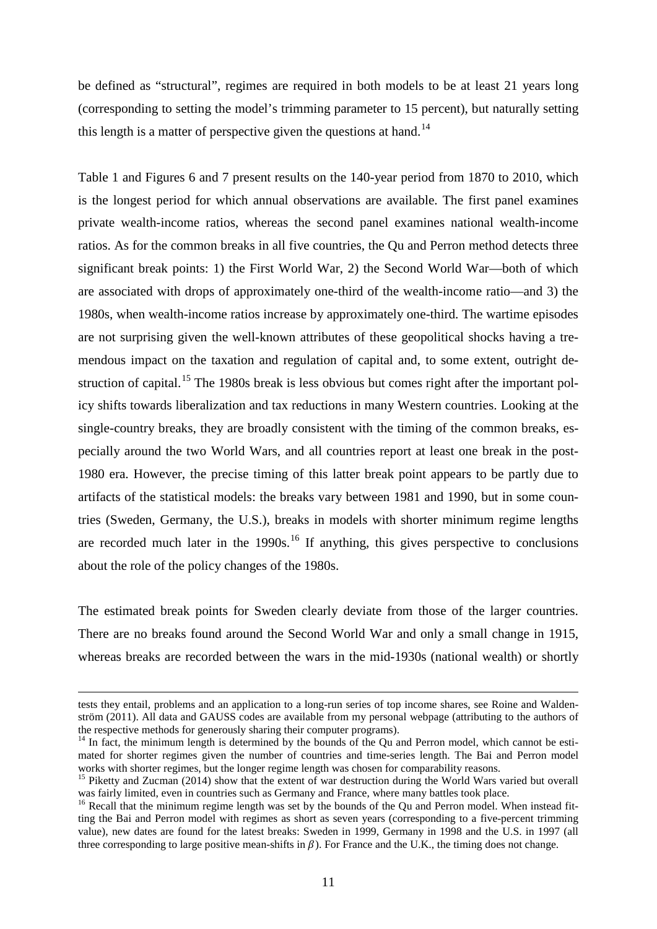be defined as "structural", regimes are required in both models to be at least 21 years long (corresponding to setting the model's trimming parameter to 15 percent), but naturally setting this length is a matter of perspective given the questions at hand.<sup>[14](#page-13-0)</sup>

Table 1 and Figures 6 and 7 present results on the 140-year period from 1870 to 2010, which is the longest period for which annual observations are available. The first panel examines private wealth-income ratios, whereas the second panel examines national wealth-income ratios. As for the common breaks in all five countries, the Qu and Perron method detects three significant break points: 1) the First World War, 2) the Second World War—both of which are associated with drops of approximately one-third of the wealth-income ratio—and 3) the 1980s, when wealth-income ratios increase by approximately one-third. The wartime episodes are not surprising given the well-known attributes of these geopolitical shocks having a tremendous impact on the taxation and regulation of capital and, to some extent, outright de-struction of capital.<sup>[15](#page-13-1)</sup> The 1980s break is less obvious but comes right after the important policy shifts towards liberalization and tax reductions in many Western countries. Looking at the single-country breaks, they are broadly consistent with the timing of the common breaks, especially around the two World Wars, and all countries report at least one break in the post-1980 era. However, the precise timing of this latter break point appears to be partly due to artifacts of the statistical models: the breaks vary between 1981 and 1990, but in some countries (Sweden, Germany, the U.S.), breaks in models with shorter minimum regime lengths are recorded much later in the  $1990s$ <sup>[16](#page-13-2)</sup> If anything, this gives perspective to conclusions about the role of the policy changes of the 1980s.

The estimated break points for Sweden clearly deviate from those of the larger countries. There are no breaks found around the Second World War and only a small change in 1915, whereas breaks are recorded between the wars in the mid-1930s (national wealth) or shortly

<u>.</u>

tests they entail, problems and an application to a long-run series of top income shares, see Roine and Waldenström (2011). All data and GAUSS codes are available from my personal webpage (attributing to the authors of the respective methods for generously sharing their computer programs).

<span id="page-13-0"></span><sup>&</sup>lt;sup>14</sup> In fact, the minimum length is determined by the bounds of the Qu and Perron model, which cannot be estimated for shorter regimes given the number of countries and time-series length. The Bai and Perron model works with shorter regimes, but the longer regime length was chosen for comparability reasons.

<span id="page-13-1"></span><sup>&</sup>lt;sup>15</sup> Piketty and Zucman (2014) show that the extent of war destruction during the World Wars varied but overall was fairly limited, even in countries such as Germany and France, where many battles took place.

<span id="page-13-2"></span> $16$  Recall that the minimum regime length was set by the bounds of the Qu and Perron model. When instead fitting the Bai and Perron model with regimes as short as seven years (corresponding to a five-percent trimming value), new dates are found for the latest breaks: Sweden in 1999, Germany in 1998 and the U.S. in 1997 (all three corresponding to large positive mean-shifts in  $\beta$ ). For France and the U.K., the timing does not change.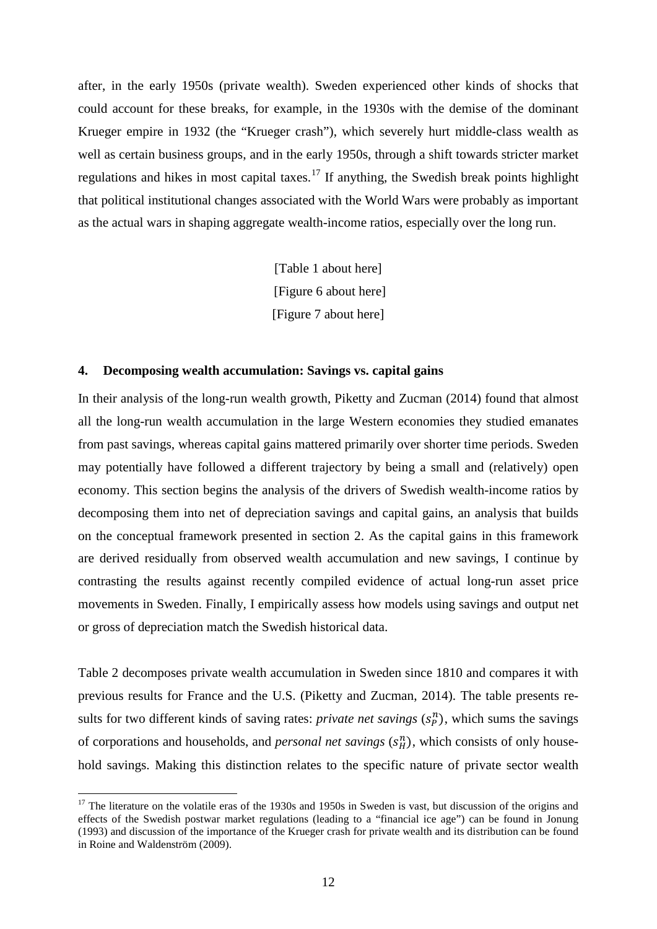after, in the early 1950s (private wealth). Sweden experienced other kinds of shocks that could account for these breaks, for example, in the 1930s with the demise of the dominant Krueger empire in 1932 (the "Krueger crash"), which severely hurt middle-class wealth as well as certain business groups, and in the early 1950s, through a shift towards stricter market regulations and hikes in most capital taxes.<sup>[17](#page-14-0)</sup> If anything, the Swedish break points highlight that political institutional changes associated with the World Wars were probably as important as the actual wars in shaping aggregate wealth-income ratios, especially over the long run.

> [Table 1 about here] [Figure 6 about here] [Figure 7 about here]

#### **4. Decomposing wealth accumulation: Savings vs. capital gains**

In their analysis of the long-run wealth growth, Piketty and Zucman (2014) found that almost all the long-run wealth accumulation in the large Western economies they studied emanates from past savings, whereas capital gains mattered primarily over shorter time periods. Sweden may potentially have followed a different trajectory by being a small and (relatively) open economy. This section begins the analysis of the drivers of Swedish wealth-income ratios by decomposing them into net of depreciation savings and capital gains, an analysis that builds on the conceptual framework presented in section 2. As the capital gains in this framework are derived residually from observed wealth accumulation and new savings, I continue by contrasting the results against recently compiled evidence of actual long-run asset price movements in Sweden. Finally, I empirically assess how models using savings and output net or gross of depreciation match the Swedish historical data.

Table 2 decomposes private wealth accumulation in Sweden since 1810 and compares it with previous results for France and the U.S. (Piketty and Zucman, 2014). The table presents results for two different kinds of saving rates: *private net savings*  $(s_p^n)$ , which sums the savings of corporations and households, and *personal net savings*  $(s<sub>H</sub><sup>n</sup>)$ , which consists of only household savings. Making this distinction relates to the specific nature of private sector wealth

<span id="page-14-0"></span> $17$  The literature on the volatile eras of the 1930s and 1950s in Sweden is vast, but discussion of the origins and effects of the Swedish postwar market regulations (leading to a "financial ice age") can be found in Jonung (1993) and discussion of the importance of the Krueger crash for private wealth and its distribution can be found in Roine and Waldenström (2009).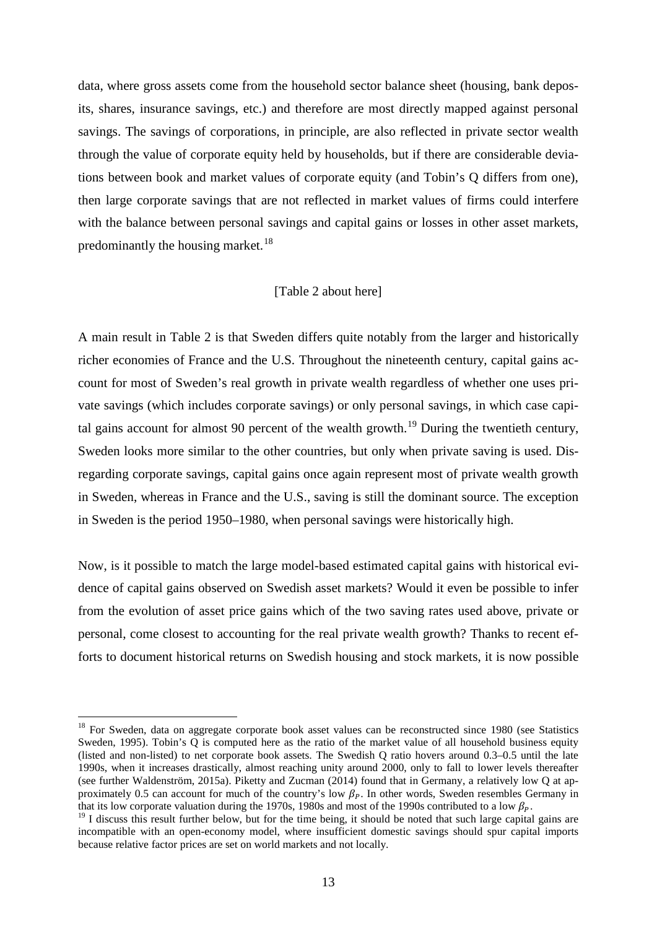data, where gross assets come from the household sector balance sheet (housing, bank deposits, shares, insurance savings, etc.) and therefore are most directly mapped against personal savings. The savings of corporations, in principle, are also reflected in private sector wealth through the value of corporate equity held by households, but if there are considerable deviations between book and market values of corporate equity (and Tobin's Q differs from one), then large corporate savings that are not reflected in market values of firms could interfere with the balance between personal savings and capital gains or losses in other asset markets, predominantly the housing market.<sup>[18](#page-15-0)</sup>

#### [\[Table 2](#page-44-0) about here]

A main result in Table 2 is that Sweden differs quite notably from the larger and historically richer economies of France and the U.S. Throughout the nineteenth century, capital gains account for most of Sweden's real growth in private wealth regardless of whether one uses private savings (which includes corporate savings) or only personal savings, in which case capi-tal gains account for almost 90 percent of the wealth growth.<sup>[19](#page-15-1)</sup> During the twentieth century, Sweden looks more similar to the other countries, but only when private saving is used. Disregarding corporate savings, capital gains once again represent most of private wealth growth in Sweden, whereas in France and the U.S., saving is still the dominant source. The exception in Sweden is the period 1950–1980, when personal savings were historically high.

Now, is it possible to match the large model-based estimated capital gains with historical evidence of capital gains observed on Swedish asset markets? Would it even be possible to infer from the evolution of asset price gains which of the two saving rates used above, private or personal, come closest to accounting for the real private wealth growth? Thanks to recent efforts to document historical returns on Swedish housing and stock markets, it is now possible

<span id="page-15-0"></span><sup>&</sup>lt;sup>18</sup> For Sweden, data on aggregate corporate book asset values can be reconstructed since 1980 (see Statistics Sweden, 1995). Tobin's Q is computed here as the ratio of the market value of all household business equity (listed and non-listed) to net corporate book assets. The Swedish Q ratio hovers around 0.3–0.5 until the late 1990s, when it increases drastically, almost reaching unity around 2000, only to fall to lower levels thereafter (see further Waldenström, 2015a). Piketty and Zucman (2014) found that in Germany, a relatively low Q at approximately 0.5 can account for much of the country's low  $\beta_P$ . In other words, Sweden resembles Germany in that its low corporate valuation during the 1970s, 1980s and most of the 1990s contributed to a low  $\beta_P$ .

<span id="page-15-1"></span> $19$  I discuss this result further below, but for the time being, it should be noted that such large capital gains are incompatible with an open-economy model, where insufficient domestic savings should spur capital imports because relative factor prices are set on world markets and not locally.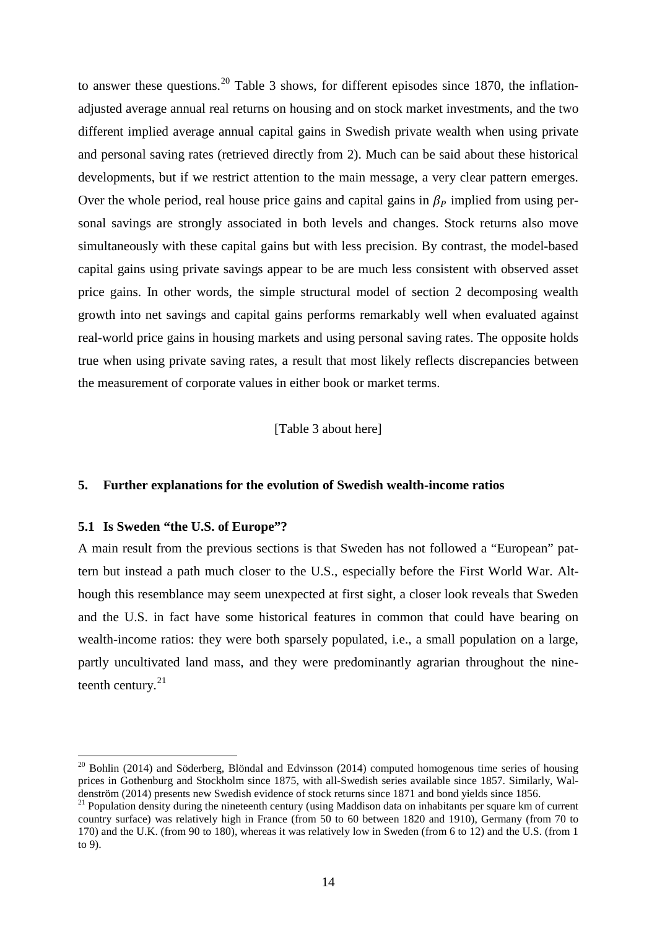to answer these questions.<sup>[20](#page-16-0)</sup> Table 3 shows, for different episodes since 1870, the inflationadjusted average annual real returns on housing and on stock market investments, and the two different implied average annual capital gains in Swedish private wealth when using private and personal saving rates (retrieved directly from 2). Much can be said about these historical developments, but if we restrict attention to the main message, a very clear pattern emerges. Over the whole period, real house price gains and capital gains in  $\beta_P$  implied from using personal savings are strongly associated in both levels and changes. Stock returns also move simultaneously with these capital gains but with less precision. By contrast, the model-based capital gains using private savings appear to be are much less consistent with observed asset price gains. In other words, the simple structural model of section 2 decomposing wealth growth into net savings and capital gains performs remarkably well when evaluated against real-world price gains in housing markets and using personal saving rates. The opposite holds true when using private saving rates, a result that most likely reflects discrepancies between the measurement of corporate values in either book or market terms.

[Table 3 about here]

#### **5. Further explanations for the evolution of Swedish wealth-income ratios**

#### **5.1 Is Sweden "the U.S. of Europe"?**

 $\overline{a}$ 

A main result from the previous sections is that Sweden has not followed a "European" pattern but instead a path much closer to the U.S., especially before the First World War. Although this resemblance may seem unexpected at first sight, a closer look reveals that Sweden and the U.S. in fact have some historical features in common that could have bearing on wealth-income ratios: they were both sparsely populated, i.e., a small population on a large, partly uncultivated land mass, and they were predominantly agrarian throughout the nineteenth century. $21$ 

<span id="page-16-0"></span> $20$  Bohlin (2014) and Söderberg, Blöndal and Edvinsson (2014) computed homogenous time series of housing prices in Gothenburg and Stockholm since 1875, with all-Swedish series available since 1857. Similarly, Wal-<br>denström (2014) presents new Swedish evidence of stock returns since 1871 and bond yields since 1856.

<span id="page-16-1"></span> $^{21}$  Population density during the nineteenth century (using Maddison data on inhabitants per square km of current country surface) was relatively high in France (from 50 to 60 between 1820 and 1910), Germany (from 70 to 170) and the U.K. (from 90 to 180), whereas it was relatively low in Sweden (from 6 to 12) and the U.S. (from 1 to 9).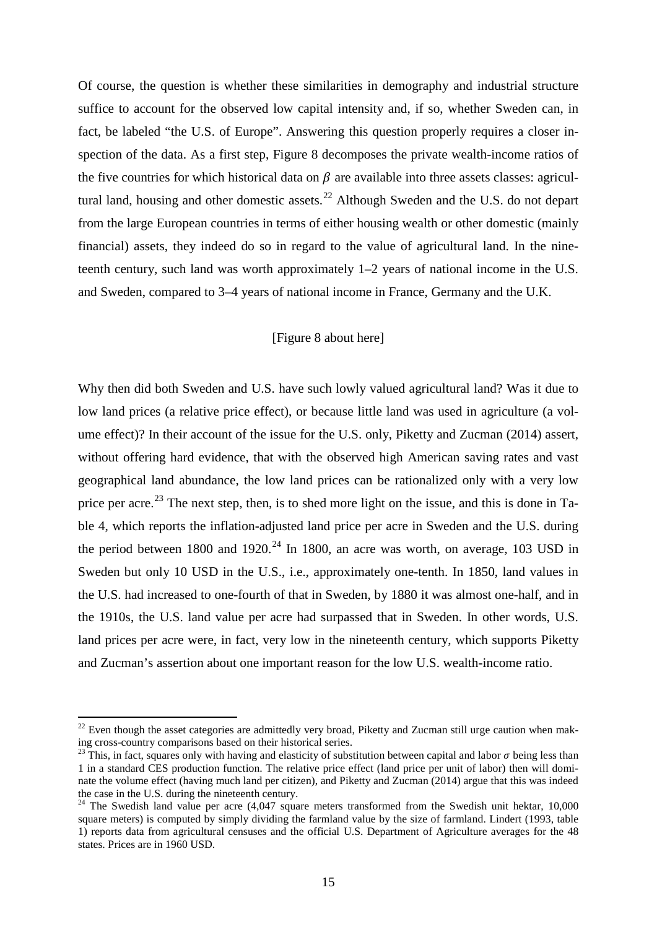Of course, the question is whether these similarities in demography and industrial structure suffice to account for the observed low capital intensity and, if so, whether Sweden can, in fact, be labeled "the U.S. of Europe". Answering this question properly requires a closer inspection of the data. As a first step, Figure 8 decomposes the private wealth-income ratios of the five countries for which historical data on  $\beta$  are available into three assets classes: agricul-tural land, housing and other domestic assets.<sup>[22](#page-17-0)</sup> Although Sweden and the U.S. do not depart from the large European countries in terms of either housing wealth or other domestic (mainly financial) assets, they indeed do so in regard to the value of agricultural land. In the nineteenth century, such land was worth approximately 1–2 years of national income in the U.S. and Sweden, compared to 3–4 years of national income in France, Germany and the U.K.

#### [Figure 8 about here]

Why then did both Sweden and U.S. have such lowly valued agricultural land? Was it due to low land prices (a relative price effect), or because little land was used in agriculture (a volume effect)? In their account of the issue for the U.S. only, Piketty and Zucman (2014) assert, without offering hard evidence, that with the observed high American saving rates and vast geographical land abundance, the low land prices can be rationalized only with a very low price per acre.<sup>[23](#page-17-1)</sup> The next step, then, is to shed more light on the issue, and this is done in Table 4, which reports the inflation-adjusted land price per acre in Sweden and the U.S. during the period between 1800 and 1920.<sup>[24](#page-17-2)</sup> In 1800, an acre was worth, on average, 103 USD in Sweden but only 10 USD in the U.S., i.e., approximately one-tenth. In 1850, land values in the U.S. had increased to one-fourth of that in Sweden, by 1880 it was almost one-half, and in the 1910s, the U.S. land value per acre had surpassed that in Sweden. In other words, U.S. land prices per acre were, in fact, very low in the nineteenth century, which supports Piketty and Zucman's assertion about one important reason for the low U.S. wealth-income ratio.

<span id="page-17-0"></span> $22$  Even though the asset categories are admittedly very broad, Piketty and Zucman still urge caution when making cross-country comparisons based on their historical series.

<span id="page-17-1"></span><sup>&</sup>lt;sup>23</sup> This, in fact, squares only with having and elasticity of substitution between capital and labor  $\sigma$  being less than 1 in a standard CES production function. The relative price effect (land price per unit of labor) then will dominate the volume effect (having much land per citizen), and Piketty and Zucman (2014) argue that this was indeed<br>the case in the U.S. during the nineteenth century.

<span id="page-17-2"></span><sup>&</sup>lt;sup>24</sup> The Swedish land value per acre (4,047 square meters transformed from the Swedish unit hektar, 10,000 square meters) is computed by simply dividing the farmland value by the size of farmland. Lindert (1993, table 1) reports data from agricultural censuses and the official U.S. Department of Agriculture averages for the 48 states. Prices are in 1960 USD.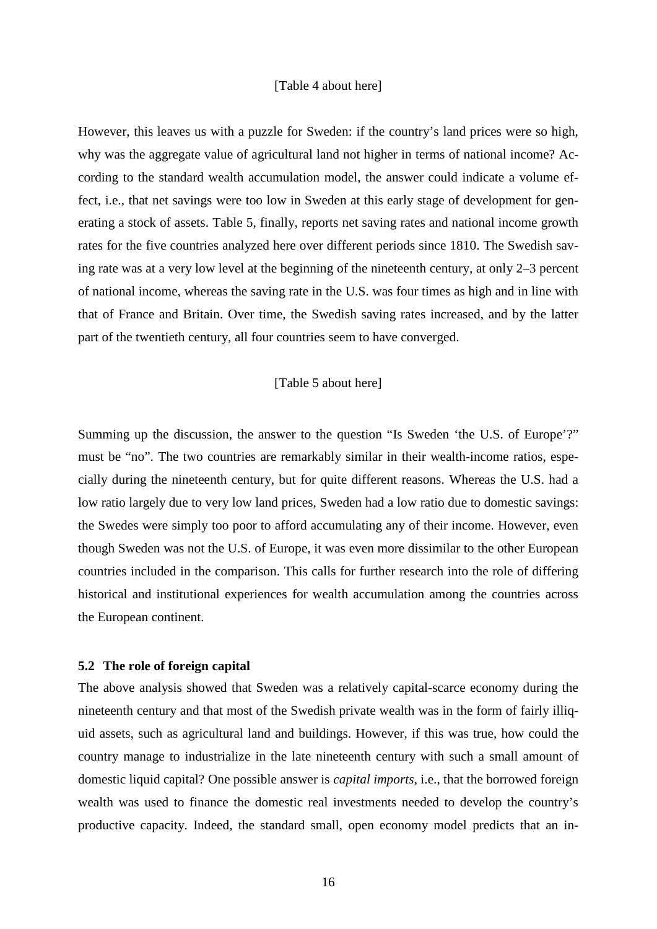#### [Table 4 about here]

However, this leaves us with a puzzle for Sweden: if the country's land prices were so high, why was the aggregate value of agricultural land not higher in terms of national income? According to the standard wealth accumulation model, the answer could indicate a volume effect, i.e., that net savings were too low in Sweden at this early stage of development for generating a stock of assets. Table 5, finally, reports net saving rates and national income growth rates for the five countries analyzed here over different periods since 1810. The Swedish saving rate was at a very low level at the beginning of the nineteenth century, at only 2–3 percent of national income, whereas the saving rate in the U.S. was four times as high and in line with that of France and Britain. Over time, the Swedish saving rates increased, and by the latter part of the twentieth century, all four countries seem to have converged.

#### [Table 5 about here]

Summing up the discussion, the answer to the question "Is Sweden 'the U.S. of Europe'?" must be "no". The two countries are remarkably similar in their wealth-income ratios, especially during the nineteenth century, but for quite different reasons. Whereas the U.S. had a low ratio largely due to very low land prices, Sweden had a low ratio due to domestic savings: the Swedes were simply too poor to afford accumulating any of their income. However, even though Sweden was not the U.S. of Europe, it was even more dissimilar to the other European countries included in the comparison. This calls for further research into the role of differing historical and institutional experiences for wealth accumulation among the countries across the European continent.

#### **5.2 The role of foreign capital**

The above analysis showed that Sweden was a relatively capital-scarce economy during the nineteenth century and that most of the Swedish private wealth was in the form of fairly illiquid assets, such as agricultural land and buildings. However, if this was true, how could the country manage to industrialize in the late nineteenth century with such a small amount of domestic liquid capital? One possible answer is *capital imports*, i.e., that the borrowed foreign wealth was used to finance the domestic real investments needed to develop the country's productive capacity. Indeed, the standard small, open economy model predicts that an in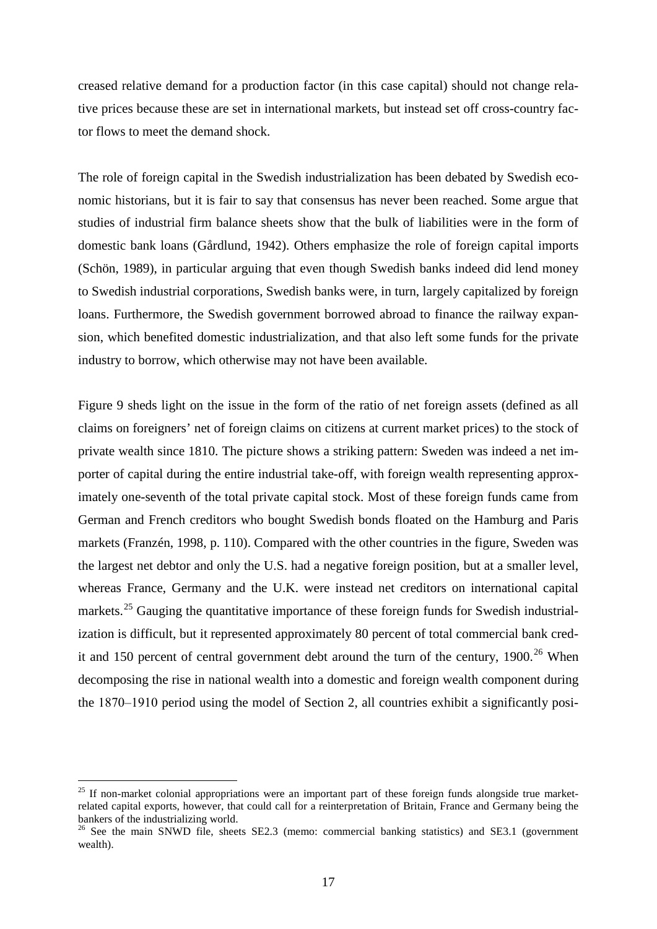creased relative demand for a production factor (in this case capital) should not change relative prices because these are set in international markets, but instead set off cross-country factor flows to meet the demand shock.

The role of foreign capital in the Swedish industrialization has been debated by Swedish economic historians, but it is fair to say that consensus has never been reached. Some argue that studies of industrial firm balance sheets show that the bulk of liabilities were in the form of domestic bank loans (Gårdlund, 1942). Others emphasize the role of foreign capital imports (Schön, 1989), in particular arguing that even though Swedish banks indeed did lend money to Swedish industrial corporations, Swedish banks were, in turn, largely capitalized by foreign loans. Furthermore, the Swedish government borrowed abroad to finance the railway expansion, which benefited domestic industrialization, and that also left some funds for the private industry to borrow, which otherwise may not have been available.

[Figure 9](#page-39-0) sheds light on the issue in the form of the ratio of net foreign assets (defined as all claims on foreigners' net of foreign claims on citizens at current market prices) to the stock of private wealth since 1810. The picture shows a striking pattern: Sweden was indeed a net importer of capital during the entire industrial take-off, with foreign wealth representing approximately one-seventh of the total private capital stock. Most of these foreign funds came from German and French creditors who bought Swedish bonds floated on the Hamburg and Paris markets (Franzén, 1998, p. 110). Compared with the other countries in the figure, Sweden was the largest net debtor and only the U.S. had a negative foreign position, but at a smaller level, whereas France, Germany and the U.K. were instead net creditors on international capital markets.<sup>[25](#page-19-0)</sup> Gauging the quantitative importance of these foreign funds for Swedish industrialization is difficult, but it represented approximately 80 percent of total commercial bank credit and 150 percent of central government debt around the turn of the century,  $1900$ <sup>[26](#page-19-1)</sup> When decomposing the rise in national wealth into a domestic and foreign wealth component during the 1870‒1910 period using the model of Section 2, all countries exhibit a significantly posi-

<span id="page-19-0"></span><sup>&</sup>lt;sup>25</sup> If non-market colonial appropriations were an important part of these foreign funds alongside true marketrelated capital exports, however, that could call for a reinterpretation of Britain, France and Germany being the bankers of the industrializing world.

<span id="page-19-1"></span><sup>&</sup>lt;sup>26</sup> See the main SNWD file, sheets SE2.3 (memo: commercial banking statistics) and SE3.1 (government wealth).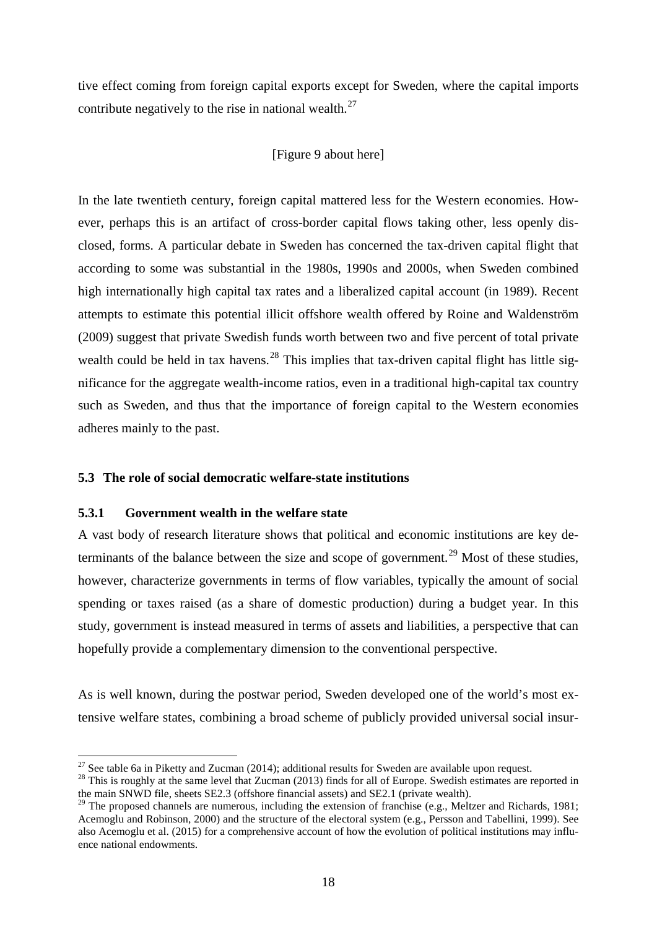tive effect coming from foreign capital exports except for Sweden, where the capital imports contribute negatively to the rise in national wealth.<sup>[27](#page-20-0)</sup>

### [\[Figure 9](#page-39-0) about here]

In the late twentieth century, foreign capital mattered less for the Western economies. However, perhaps this is an artifact of cross-border capital flows taking other, less openly disclosed, forms. A particular debate in Sweden has concerned the tax-driven capital flight that according to some was substantial in the 1980s, 1990s and 2000s, when Sweden combined high internationally high capital tax rates and a liberalized capital account (in 1989). Recent attempts to estimate this potential illicit offshore wealth offered by Roine and Waldenström (2009) suggest that private Swedish funds worth between two and five percent of total private wealth could be held in tax havens.<sup>[28](#page-20-1)</sup> This implies that tax-driven capital flight has little significance for the aggregate wealth-income ratios, even in a traditional high-capital tax country such as Sweden, and thus that the importance of foreign capital to the Western economies adheres mainly to the past.

### **5.3 The role of social democratic welfare-state institutions**

#### **5.3.1 Government wealth in the welfare state**

A vast body of research literature shows that political and economic institutions are key de-terminants of the balance between the size and scope of government.<sup>[29](#page-20-2)</sup> Most of these studies, however, characterize governments in terms of flow variables, typically the amount of social spending or taxes raised (as a share of domestic production) during a budget year. In this study, government is instead measured in terms of assets and liabilities, a perspective that can hopefully provide a complementary dimension to the conventional perspective.

As is well known, during the postwar period, Sweden developed one of the world's most extensive welfare states, combining a broad scheme of publicly provided universal social insur-

<span id="page-20-0"></span><sup>&</sup>lt;sup>27</sup> See table 6a in Piketty and Zucman (2014): additional results for Sweden are available upon request.

<span id="page-20-1"></span> $28$  This is roughly at the same level that Zucman (2013) finds for all of Europe. Swedish estimates are reported in the main SNWD file, sheets SE2.3 (offshore financial assets) and SE2.1 (private wealth).

<span id="page-20-2"></span><sup>&</sup>lt;sup>29</sup> The proposed channels are numerous, including the extension of franchise (e.g., Meltzer and Richards, 1981; Acemoglu and Robinson, 2000) and the structure of the electoral system (e.g., Persson and Tabellini, 1999). See also Acemoglu et al. (2015) for a comprehensive account of how the evolution of political institutions may influence national endowments.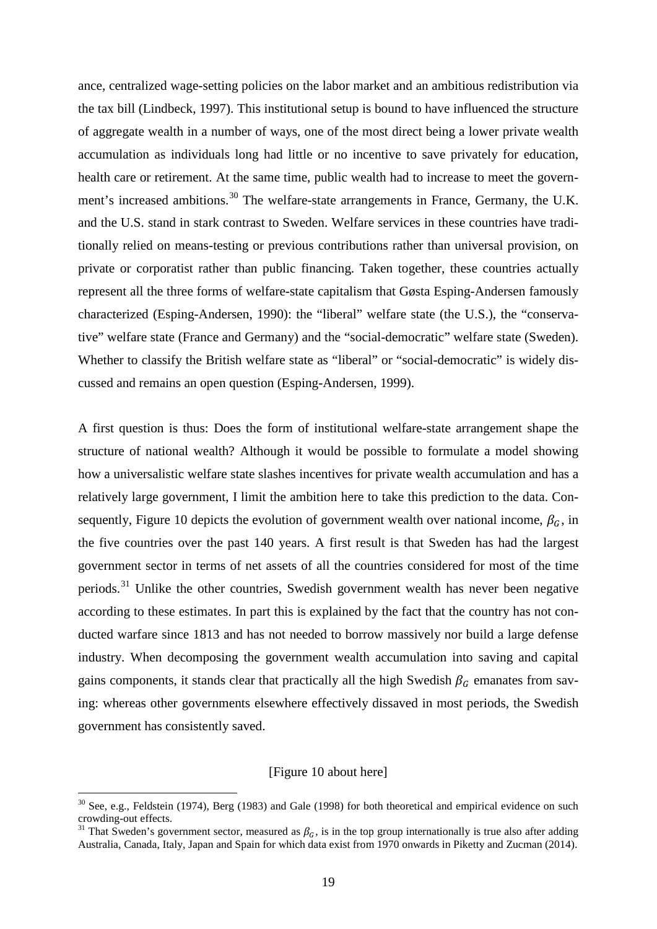ance, centralized wage-setting policies on the labor market and an ambitious redistribution via the tax bill (Lindbeck, 1997). This institutional setup is bound to have influenced the structure of aggregate wealth in a number of ways, one of the most direct being a lower private wealth accumulation as individuals long had little or no incentive to save privately for education, health care or retirement. At the same time, public wealth had to increase to meet the govern-ment's increased ambitions.<sup>[30](#page-21-0)</sup> The welfare-state arrangements in France, Germany, the U.K. and the U.S. stand in stark contrast to Sweden. Welfare services in these countries have traditionally relied on means-testing or previous contributions rather than universal provision, on private or corporatist rather than public financing. Taken together, these countries actually represent all the three forms of welfare-state capitalism that Gøsta Esping-Andersen famously characterized (Esping-Andersen, 1990): the "liberal" welfare state (the U.S.), the "conservative" welfare state (France and Germany) and the "social-democratic" welfare state (Sweden). Whether to classify the British welfare state as "liberal" or "social-democratic" is widely discussed and remains an open question (Esping-Andersen, 1999).

A first question is thus: Does the form of institutional welfare-state arrangement shape the structure of national wealth? Although it would be possible to formulate a model showing how a universalistic welfare state slashes incentives for private wealth accumulation and has a relatively large government, I limit the ambition here to take this prediction to the data. Con-sequently, [Figure 10](#page-40-0) depicts the evolution of government wealth over national income,  $\beta_G$ , in the five countries over the past 140 years. A first result is that Sweden has had the largest government sector in terms of net assets of all the countries considered for most of the time periods.<sup>[31](#page-21-1)</sup> Unlike the other countries, Swedish government wealth has never been negative according to these estimates. In part this is explained by the fact that the country has not conducted warfare since 1813 and has not needed to borrow massively nor build a large defense industry. When decomposing the government wealth accumulation into saving and capital gains components, it stands clear that practically all the high Swedish  $\beta_G$  emanates from saving: whereas other governments elsewhere effectively dissaved in most periods, the Swedish government has consistently saved.

#### [\[Figure 10](#page-40-0) about here]

<span id="page-21-0"></span> $30$  See, e.g., Feldstein (1974), Berg (1983) and Gale (1998) for both theoretical and empirical evidence on such crowding-out effects.<br><sup>31</sup> That Sweden's government sector, measured as  $\beta_G$ , is in the top group internationally is true also after adding

<span id="page-21-1"></span>Australia, Canada, Italy, Japan and Spain for which data exist from 1970 onwards in Piketty and Zucman (2014).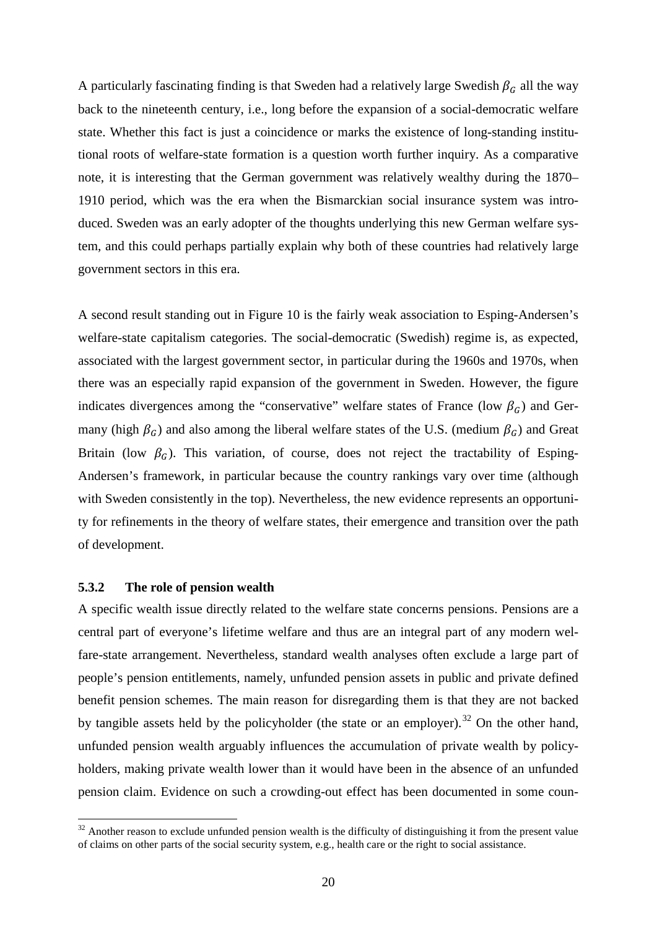A particularly fascinating finding is that Sweden had a relatively large Swedish  $\beta_G$  all the way back to the nineteenth century, i.e., long before the expansion of a social-democratic welfare state. Whether this fact is just a coincidence or marks the existence of long-standing institutional roots of welfare-state formation is a question worth further inquiry. As a comparative note, it is interesting that the German government was relatively wealthy during the 1870– 1910 period, which was the era when the Bismarckian social insurance system was introduced. Sweden was an early adopter of the thoughts underlying this new German welfare system, and this could perhaps partially explain why both of these countries had relatively large government sectors in this era.

A second result standing out in Figure 10 is the fairly weak association to Esping-Andersen's welfare-state capitalism categories. The social-democratic (Swedish) regime is, as expected, associated with the largest government sector, in particular during the 1960s and 1970s, when there was an especially rapid expansion of the government in Sweden. However, the figure indicates divergences among the "conservative" welfare states of France (low  $\beta_G$ ) and Germany (high  $\beta_G$ ) and also among the liberal welfare states of the U.S. (medium  $\beta_G$ ) and Great Britain (low  $\beta_G$ ). This variation, of course, does not reject the tractability of Esping-Andersen's framework, in particular because the country rankings vary over time (although with Sweden consistently in the top). Nevertheless, the new evidence represents an opportunity for refinements in the theory of welfare states, their emergence and transition over the path of development.

#### **5.3.2 The role of pension wealth**

 $\overline{a}$ 

A specific wealth issue directly related to the welfare state concerns pensions. Pensions are a central part of everyone's lifetime welfare and thus are an integral part of any modern welfare-state arrangement. Nevertheless, standard wealth analyses often exclude a large part of people's pension entitlements, namely, unfunded pension assets in public and private defined benefit pension schemes. The main reason for disregarding them is that they are not backed by tangible assets held by the policyholder (the state or an employer).<sup>[32](#page-22-0)</sup> On the other hand, unfunded pension wealth arguably influences the accumulation of private wealth by policyholders, making private wealth lower than it would have been in the absence of an unfunded pension claim. Evidence on such a crowding-out effect has been documented in some coun-

<span id="page-22-0"></span> $32$  Another reason to exclude unfunded pension wealth is the difficulty of distinguishing it from the present value of claims on other parts of the social security system, e.g., health care or the right to social assistance.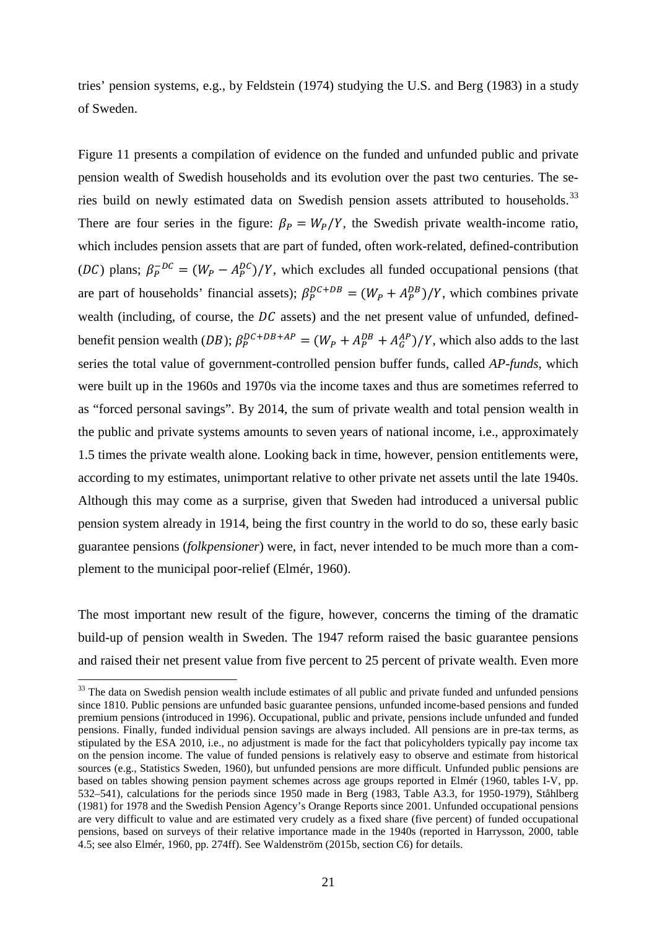tries' pension systems, e.g., by Feldstein (1974) studying the U.S. and Berg (1983) in a study of Sweden.

[Figure 11](#page-41-0) presents a compilation of evidence on the funded and unfunded public and private pension wealth of Swedish households and its evolution over the past two centuries. The se-ries build on newly estimated data on Swedish pension assets attributed to households.<sup>[33](#page-23-0)</sup> There are four series in the figure:  $\beta_P = W_P/Y$ , the Swedish private wealth-income ratio, which includes pension assets that are part of funded, often work-related, defined-contribution (DC) plans;  $\beta_P^{-DC} = (W_P - A_P^{DC})/Y$ , which excludes all funded occupational pensions (that are part of households' financial assets);  $\beta_P^{DC+DB} = (W_P + A_P^{DB})/Y$ , which combines private wealth (including, of course, the  $DC$  assets) and the net present value of unfunded, definedbenefit pension wealth (DB);  $\beta_P^{DC+DB+AP} = (W_P + A_P^{DB} + A_G^{AP})/Y$ , which also adds to the last series the total value of government-controlled pension buffer funds, called *AP-funds*, which were built up in the 1960s and 1970s via the income taxes and thus are sometimes referred to as "forced personal savings". By 2014, the sum of private wealth and total pension wealth in the public and private systems amounts to seven years of national income, i.e., approximately 1.5 times the private wealth alone. Looking back in time, however, pension entitlements were, according to my estimates, unimportant relative to other private net assets until the late 1940s. Although this may come as a surprise, given that Sweden had introduced a universal public pension system already in 1914, being the first country in the world to do so, these early basic guarantee pensions (*folkpensioner*) were, in fact, never intended to be much more than a complement to the municipal poor-relief (Elmér, 1960).

The most important new result of the figure, however, concerns the timing of the dramatic build-up of pension wealth in Sweden. The 1947 reform raised the basic guarantee pensions and raised their net present value from five percent to 25 percent of private wealth. Even more

<span id="page-23-0"></span><sup>&</sup>lt;sup>33</sup> The data on Swedish pension wealth include estimates of all public and private funded and unfunded pensions since 1810. Public pensions are unfunded basic guarantee pensions, unfunded income-based pensions and funded premium pensions (introduced in 1996). Occupational, public and private, pensions include unfunded and funded pensions. Finally, funded individual pension savings are always included. All pensions are in pre-tax terms, as stipulated by the ESA 2010, i.e., no adjustment is made for the fact that policyholders typically pay income tax on the pension income. The value of funded pensions is relatively easy to observe and estimate from historical sources (e.g., Statistics Sweden, 1960), but unfunded pensions are more difficult. Unfunded public pensions are based on tables showing pension payment schemes across age groups reported in Elmér (1960, tables I-V, pp. 532–541), calculations for the periods since 1950 made in Berg (1983, Table A3.3, for 1950-1979), Ståhlberg (1981) for 1978 and the Swedish Pension Agency's Orange Reports since 2001. Unfunded occupational pensions are very difficult to value and are estimated very crudely as a fixed share (five percent) of funded occupational pensions, based on surveys of their relative importance made in the 1940s (reported in Harrysson, 2000, table 4.5; see also Elmér, 1960, pp. 274ff). See Waldenström (2015b, section C6) for details.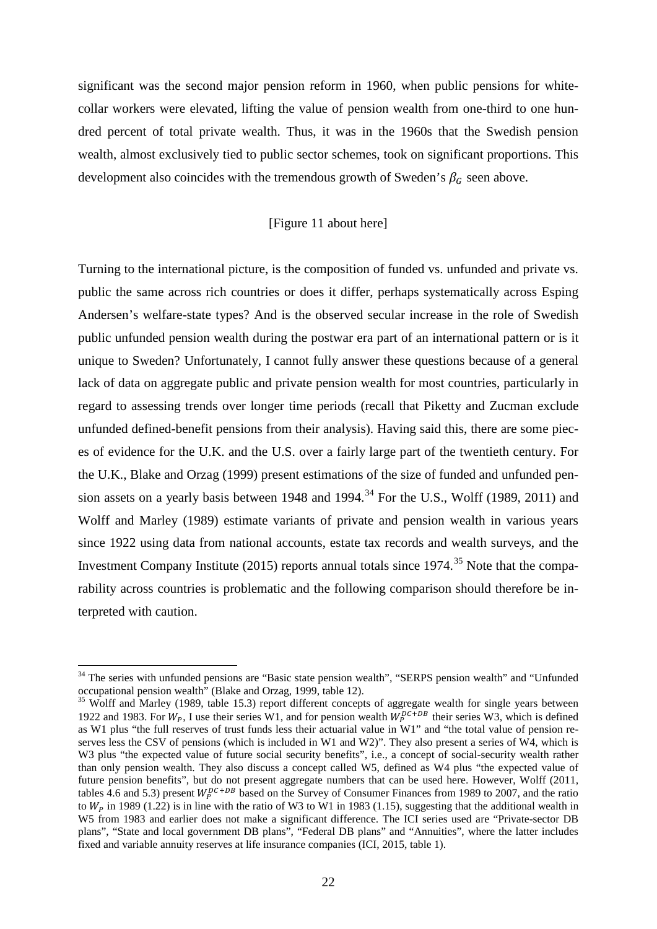significant was the second major pension reform in 1960, when public pensions for whitecollar workers were elevated, lifting the value of pension wealth from one-third to one hundred percent of total private wealth. Thus, it was in the 1960s that the Swedish pension wealth, almost exclusively tied to public sector schemes, took on significant proportions. This development also coincides with the tremendous growth of Sweden's  $\beta_c$  seen above.

#### [\[Figure 11](#page-41-0) about here]

Turning to the international picture, is the composition of funded vs. unfunded and private vs. public the same across rich countries or does it differ, perhaps systematically across Esping Andersen's welfare-state types? And is the observed secular increase in the role of Swedish public unfunded pension wealth during the postwar era part of an international pattern or is it unique to Sweden? Unfortunately, I cannot fully answer these questions because of a general lack of data on aggregate public and private pension wealth for most countries, particularly in regard to assessing trends over longer time periods (recall that Piketty and Zucman exclude unfunded defined-benefit pensions from their analysis). Having said this, there are some pieces of evidence for the U.K. and the U.S. over a fairly large part of the twentieth century. For the U.K., Blake and Orzag (1999) present estimations of the size of funded and unfunded pen-sion assets on a yearly basis between 1948 and 1994.<sup>[34](#page-24-0)</sup> For the U.S., Wolff (1989, 2011) and Wolff and Marley (1989) estimate variants of private and pension wealth in various years since 1922 using data from national accounts, estate tax records and wealth surveys, and the Investment Company Institute (2015) reports annual totals since 1974.<sup>[35](#page-24-1)</sup> Note that the comparability across countries is problematic and the following comparison should therefore be interpreted with caution.

<span id="page-24-0"></span><sup>&</sup>lt;sup>34</sup> The series with unfunded pensions are "Basic state pension wealth", "SERPS pension wealth" and "Unfunded occupational pension wealth" (Blake and Orzag, 1999, table 12).

<span id="page-24-1"></span><sup>&</sup>lt;sup>35</sup> Wolff and Marley (1989, table 15.3) report different concepts of aggregate wealth for single years between 1922 and 1983. For  $W_p$ , I use their series W1, and for pension wealth  $W_p^{DC+DB}$  their series W3, which is defined as W1 plus "the full reserves of trust funds less their actuarial value in W1" and "the total value of pension reserves less the CSV of pensions (which is included in W1 and W2)". They also present a series of W4, which is W3 plus "the expected value of future social security benefits", i.e., a concept of social-security wealth rather than only pension wealth. They also discuss a concept called W5, defined as W4 plus "the expected value of future pension benefits", but do not present aggregate numbers that can be used here. However, Wolff (2011, tables 4.6 and 5.3) present  $W_p^{D C + DB}$  based on the Survey of Consumer Finances from 1989 to 2007, and the ratio to  $W_p$  in 1989 (1.22) is in line with the ratio of W3 to W1 in 1983 (1.15), suggesting that the additional wealth in W5 from 1983 and earlier does not make a significant difference. The ICI series used are "Private-sector DB plans", "State and local government DB plans", "Federal DB plans" and "Annuities", where the latter includes fixed and variable annuity reserves at life insurance companies (ICI, 2015, table 1).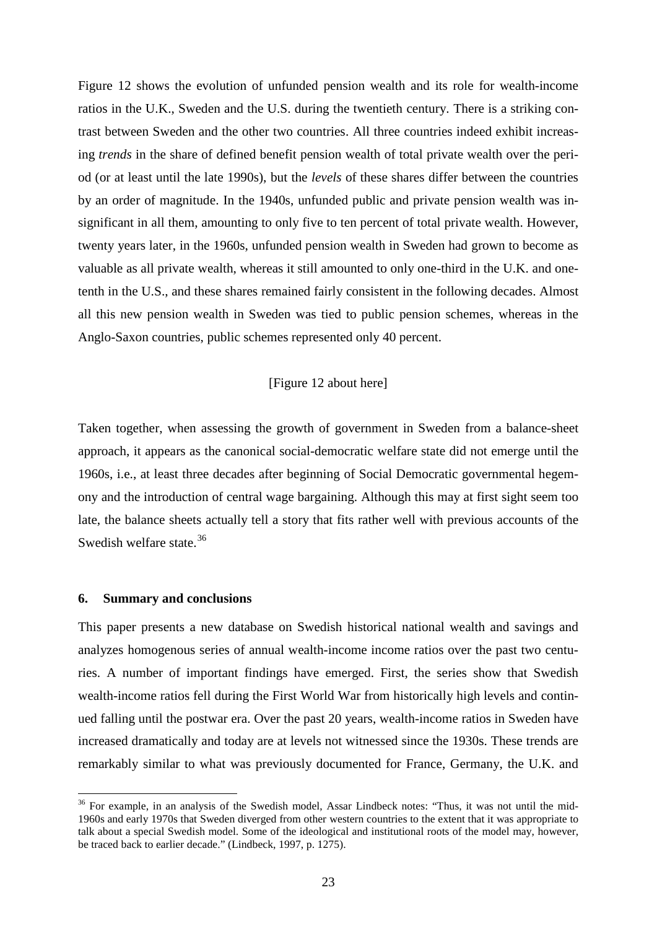[Figure 12](#page-42-0) shows the evolution of unfunded pension wealth and its role for wealth-income ratios in the U.K., Sweden and the U.S. during the twentieth century. There is a striking contrast between Sweden and the other two countries. All three countries indeed exhibit increasing *trends* in the share of defined benefit pension wealth of total private wealth over the period (or at least until the late 1990s), but the *levels* of these shares differ between the countries by an order of magnitude. In the 1940s, unfunded public and private pension wealth was insignificant in all them, amounting to only five to ten percent of total private wealth. However, twenty years later, in the 1960s, unfunded pension wealth in Sweden had grown to become as valuable as all private wealth, whereas it still amounted to only one-third in the U.K. and onetenth in the U.S., and these shares remained fairly consistent in the following decades. Almost all this new pension wealth in Sweden was tied to public pension schemes, whereas in the Anglo-Saxon countries, public schemes represented only 40 percent.

#### [\[Figure 12](#page-42-0) about here]

Taken together, when assessing the growth of government in Sweden from a balance-sheet approach, it appears as the canonical social-democratic welfare state did not emerge until the 1960s, i.e., at least three decades after beginning of Social Democratic governmental hegemony and the introduction of central wage bargaining. Although this may at first sight seem too late, the balance sheets actually tell a story that fits rather well with previous accounts of the Swedish welfare state.<sup>[36](#page-25-0)</sup>

#### **6. Summary and conclusions**

 $\overline{a}$ 

This paper presents a new database on Swedish historical national wealth and savings and analyzes homogenous series of annual wealth-income income ratios over the past two centuries. A number of important findings have emerged. First, the series show that Swedish wealth-income ratios fell during the First World War from historically high levels and continued falling until the postwar era. Over the past 20 years, wealth-income ratios in Sweden have increased dramatically and today are at levels not witnessed since the 1930s. These trends are remarkably similar to what was previously documented for France, Germany, the U.K. and

<span id="page-25-0"></span><sup>&</sup>lt;sup>36</sup> For example, in an analysis of the Swedish model, Assar Lindbeck notes: "Thus, it was not until the mid-1960s and early 1970s that Sweden diverged from other western countries to the extent that it was appropriate to talk about a special Swedish model. Some of the ideological and institutional roots of the model may, however, be traced back to earlier decade." (Lindbeck, 1997, p. 1275).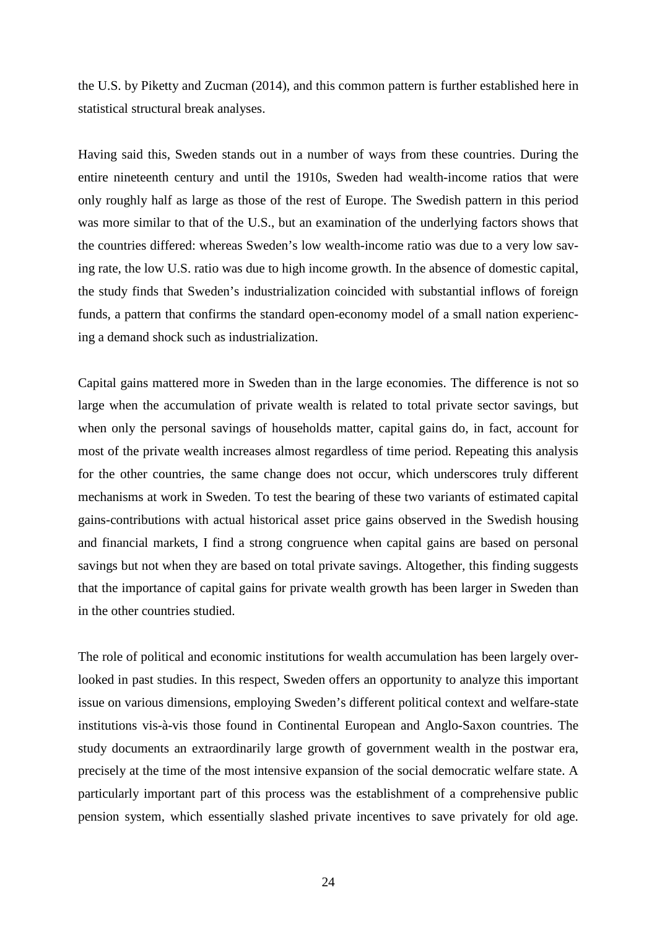the U.S. by Piketty and Zucman (2014), and this common pattern is further established here in statistical structural break analyses.

Having said this, Sweden stands out in a number of ways from these countries. During the entire nineteenth century and until the 1910s, Sweden had wealth-income ratios that were only roughly half as large as those of the rest of Europe. The Swedish pattern in this period was more similar to that of the U.S., but an examination of the underlying factors shows that the countries differed: whereas Sweden's low wealth-income ratio was due to a very low saving rate, the low U.S. ratio was due to high income growth. In the absence of domestic capital, the study finds that Sweden's industrialization coincided with substantial inflows of foreign funds, a pattern that confirms the standard open-economy model of a small nation experiencing a demand shock such as industrialization.

Capital gains mattered more in Sweden than in the large economies. The difference is not so large when the accumulation of private wealth is related to total private sector savings, but when only the personal savings of households matter, capital gains do, in fact, account for most of the private wealth increases almost regardless of time period. Repeating this analysis for the other countries, the same change does not occur, which underscores truly different mechanisms at work in Sweden. To test the bearing of these two variants of estimated capital gains-contributions with actual historical asset price gains observed in the Swedish housing and financial markets, I find a strong congruence when capital gains are based on personal savings but not when they are based on total private savings. Altogether, this finding suggests that the importance of capital gains for private wealth growth has been larger in Sweden than in the other countries studied.

The role of political and economic institutions for wealth accumulation has been largely overlooked in past studies. In this respect, Sweden offers an opportunity to analyze this important issue on various dimensions, employing Sweden's different political context and welfare-state institutions vis-à-vis those found in Continental European and Anglo-Saxon countries. The study documents an extraordinarily large growth of government wealth in the postwar era, precisely at the time of the most intensive expansion of the social democratic welfare state. A particularly important part of this process was the establishment of a comprehensive public pension system, which essentially slashed private incentives to save privately for old age.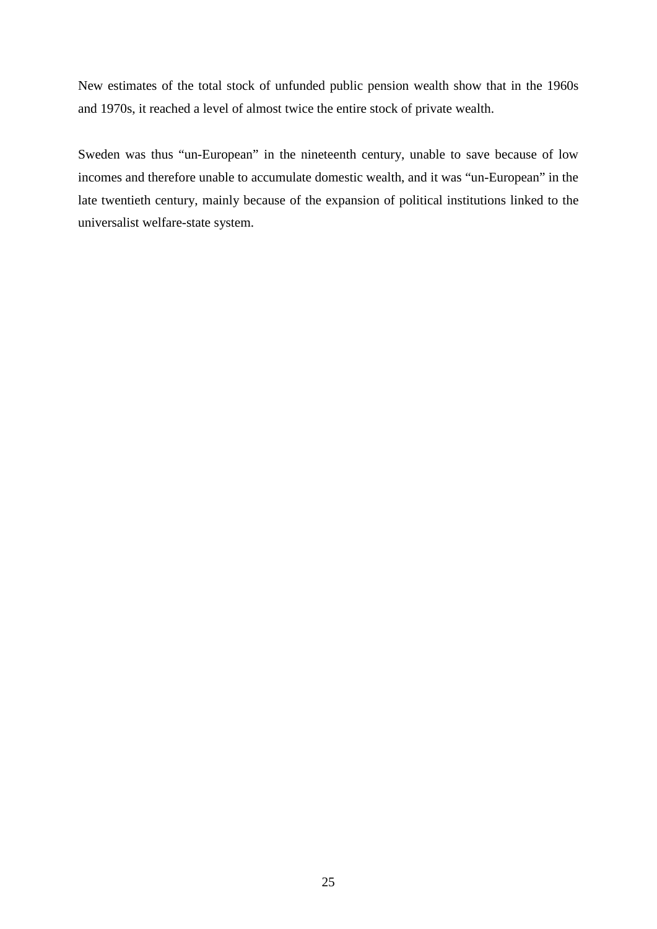New estimates of the total stock of unfunded public pension wealth show that in the 1960s and 1970s, it reached a level of almost twice the entire stock of private wealth.

Sweden was thus "un-European" in the nineteenth century, unable to save because of low incomes and therefore unable to accumulate domestic wealth, and it was "un-European" in the late twentieth century, mainly because of the expansion of political institutions linked to the universalist welfare-state system.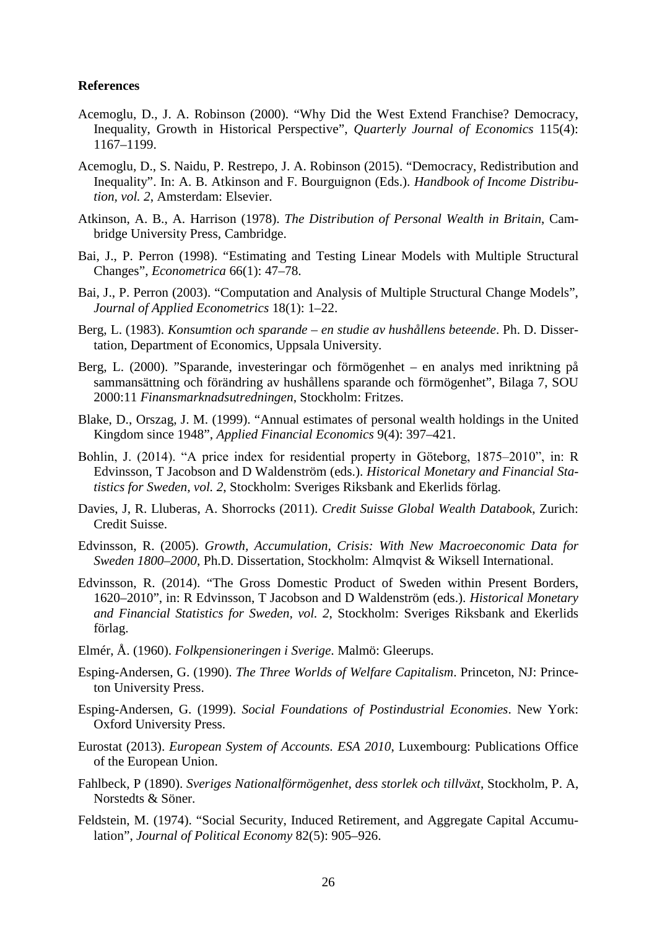#### **References**

- Acemoglu, D., J. A. Robinson (2000). "Why Did the West Extend Franchise? Democracy, Inequality, Growth in Historical Perspective", *Quarterly Journal of Economics* 115(4): 1167–1199.
- Acemoglu, D., S. Naidu, P. Restrepo, J. A. Robinson (2015). "Democracy, Redistribution and Inequality". In: A. B. Atkinson and F. Bourguignon (Eds.). *Handbook of Income Distribution, vol. 2*, Amsterdam: Elsevier.
- Atkinson, A. B., A. Harrison (1978). *The Distribution of Personal Wealth in Britain*, Cambridge University Press, Cambridge.
- Bai, J., P. Perron (1998). "Estimating and Testing Linear Models with Multiple Structural Changes", *Econometrica* 66(1): 47–78.
- Bai, J., P. Perron (2003). "Computation and Analysis of Multiple Structural Change Models", *Journal of Applied Econometrics* 18(1): 1–22.
- Berg, L. (1983). *Konsumtion och sparande – en studie av hushållens beteende*. Ph. D. Dissertation, Department of Economics, Uppsala University.
- Berg, L. (2000). "Sparande, investeringar och förmögenhet en analys med inriktning på sammansättning och förändring av hushållens sparande och förmögenhet", Bilaga 7, SOU 2000:11 *Finansmarknadsutredningen*, Stockholm: Fritzes.
- Blake, D., Orszag, J. M. (1999). "Annual estimates of personal wealth holdings in the United Kingdom since 1948", *Applied Financial Economics* 9(4): 397–421.
- Bohlin, J. (2014). "A price index for residential property in Göteborg, 1875–2010", in: R Edvinsson, T Jacobson and D Waldenström (eds.). *Historical Monetary and Financial Statistics for Sweden, vol. 2*, Stockholm: Sveriges Riksbank and Ekerlids förlag.
- Davies, J, R. Lluberas, A. Shorrocks (2011). *Credit Suisse Global Wealth Databook*, Zurich: Credit Suisse.
- Edvinsson, R. (2005). *Growth, Accumulation, Crisis: With New Macroeconomic Data for Sweden 1800–2000*, Ph.D. Dissertation, Stockholm: Almqvist & Wiksell International.
- Edvinsson, R. (2014). "The Gross Domestic Product of Sweden within Present Borders, 1620–2010", in: R Edvinsson, T Jacobson and D Waldenström (eds.). *Historical Monetary and Financial Statistics for Sweden, vol. 2*, Stockholm: Sveriges Riksbank and Ekerlids förlag.
- Elmér, Å. (1960). *Folkpensioneringen i Sverige*. Malmö: Gleerups.
- Esping-Andersen, G. (1990). *The Three Worlds of Welfare Capitalism*. Princeton, NJ: Princeton University Press.
- Esping-Andersen, G. (1999). *Social Foundations of Postindustrial Economies*. New York: Oxford University Press.
- Eurostat (2013). *European System of Accounts. ESA 2010*, Luxembourg: Publications Office of the European Union.
- Fahlbeck, P (1890). *Sveriges Nationalförmögenhet, dess storlek och tillväxt*, Stockholm, P. A, Norstedts & Söner.
- Feldstein, M. (1974). "Social Security, Induced Retirement, and Aggregate Capital Accumulation", *Journal of Political Economy* 82(5): 905–926.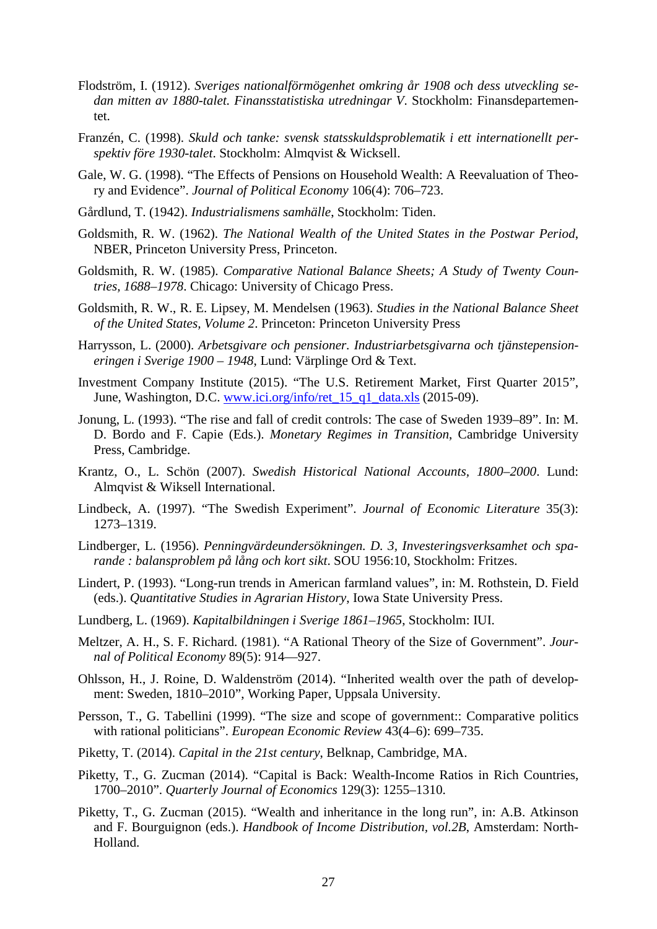- Flodström, I. (1912). *Sveriges nationalförmögenhet omkring år 1908 och dess utveckling sedan mitten av 1880-talet. Finansstatistiska utredningar V*. Stockholm: Finansdepartementet.
- Franzén, C. (1998). *Skuld och tanke: svensk statsskuldsproblematik i ett internationellt perspektiv före 1930-talet*. Stockholm: Almqvist & Wicksell.
- Gale, W. G. (1998). "The Effects of Pensions on Household Wealth: A Reevaluation of Theory and Evidence". *Journal of Political Economy* 106(4): 706–723.
- Gårdlund, T. (1942). *Industrialismens samhälle*, Stockholm: Tiden.
- Goldsmith, R. W. (1962). *The National Wealth of the United States in the Postwar Period*, NBER, Princeton University Press, Princeton.
- Goldsmith, R. W. (1985). *Comparative National Balance Sheets; A Study of Twenty Countries, 1688–1978*. Chicago: University of Chicago Press.
- Goldsmith, R. W., R. E. Lipsey, M. Mendelsen (1963). *Studies in the National Balance Sheet of the United States, Volume 2*. Princeton: Princeton University Press
- Harrysson, L. (2000). *Arbetsgivare och pensioner. Industriarbetsgivarna och tjänstepensioneringen i Sverige 1900 – 1948*, Lund: Värplinge Ord & Text.
- Investment Company Institute (2015). "The U.S. Retirement Market, First Quarter 2015", June, Washington, D.C. [www.ici.org/info/ret\\_15\\_q1\\_data.xls](http://www.ici.org/info/ret_15_q1_data.xls) (2015-09).
- Jonung, L. (1993). "The rise and fall of credit controls: The case of Sweden 1939–89". In: M. D. Bordo and F. Capie (Eds.). *Monetary Regimes in Transition*, Cambridge University Press, Cambridge.
- Krantz, O., L. Schön (2007). *Swedish Historical National Accounts, 1800–2000*. Lund: Almqvist & Wiksell International.
- Lindbeck, A. (1997). "The Swedish Experiment". *Journal of Economic Literature* 35(3): 1273–1319.
- Lindberger, L. (1956). *Penningvärdeundersökningen. D. 3, Investeringsverksamhet och sparande : balansproblem på lång och kort sikt*. SOU 1956:10, Stockholm: Fritzes.
- Lindert, P. (1993). "Long-run trends in American farmland values", in: M. Rothstein, D. Field (eds.). *Quantitative Studies in Agrarian History*, Iowa State University Press.
- Lundberg, L. (1969). *Kapitalbildningen i Sverige 1861–1965*, Stockholm: IUI.
- Meltzer, A. H., S. F. Richard. (1981). "A Rational Theory of the Size of Government". *Journal of Political Economy* 89(5): 914—927.
- Ohlsson, H., J. Roine, D. Waldenström (2014). "Inherited wealth over the path of development: Sweden, 1810–2010", Working Paper, Uppsala University.
- Persson, T., G. Tabellini (1999). "The size and scope of government:: Comparative politics with rational politicians". *European Economic Review* 43(4–6): 699–735.
- Piketty, T. (2014). *Capital in the 21st century*, Belknap, Cambridge, MA.
- Piketty, T., G. Zucman (2014). "Capital is Back: Wealth-Income Ratios in Rich Countries, 1700–2010". *Quarterly Journal of Economics* 129(3): 1255–1310.
- Piketty, T., G. Zucman (2015). "Wealth and inheritance in the long run", in: A.B. Atkinson and F. Bourguignon (eds.). *Handbook of Income Distribution, vol.2B*, Amsterdam: North-Holland.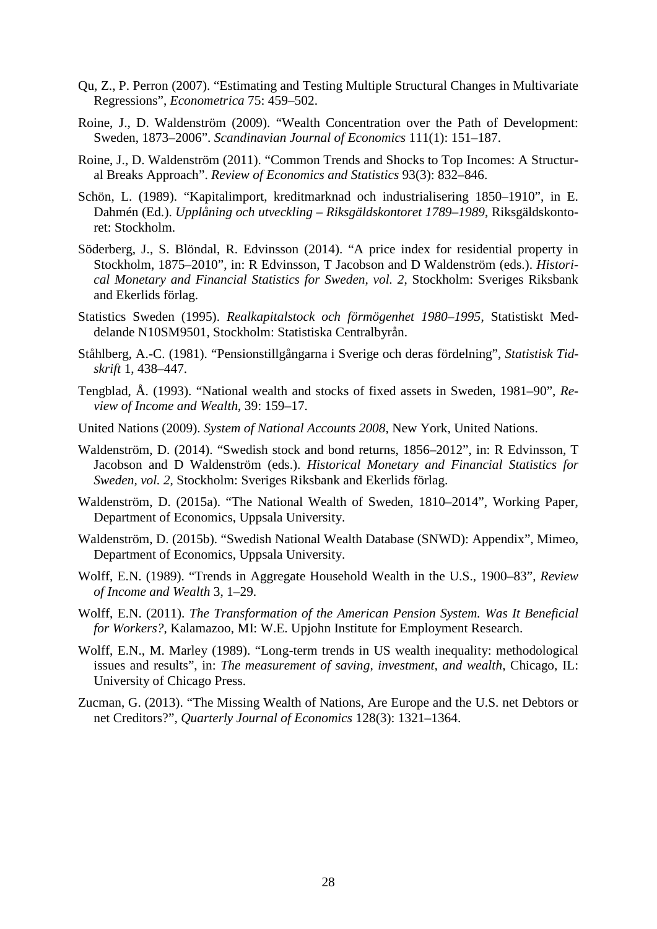- Qu, Z., P. Perron (2007). "Estimating and Testing Multiple Structural Changes in Multivariate Regressions", *Econometrica* 75: 459–502.
- Roine, J., D. Waldenström (2009). "Wealth Concentration over the Path of Development: Sweden, 1873–2006". *Scandinavian Journal of Economics* 111(1): 151–187.
- Roine, J., D. Waldenström (2011). "Common Trends and Shocks to Top Incomes: A Structural Breaks Approach". *Review of Economics and Statistics* 93(3): 832–846.
- Schön, L. (1989). "Kapitalimport, kreditmarknad och industrialisering 1850–1910", in E. Dahmén (Ed.). *Upplåning och utveckling – Riksgäldskontoret 1789–1989*, Riksgäldskontoret: Stockholm.
- Söderberg, J., S. Blöndal, R. Edvinsson (2014). "A price index for residential property in Stockholm, 1875–2010", in: R Edvinsson, T Jacobson and D Waldenström (eds.). *Historical Monetary and Financial Statistics for Sweden, vol. 2*, Stockholm: Sveriges Riksbank and Ekerlids förlag.
- Statistics Sweden (1995). *Realkapitalstock och förmögenhet 1980–1995*, Statistiskt Meddelande N10SM9501, Stockholm: Statistiska Centralbyrån.
- Ståhlberg, A.-C. (1981). "Pensionstillgångarna i Sverige och deras fördelning", *Statistisk Tidskrift* 1, 438–447.
- Tengblad, Å. (1993). "National wealth and stocks of fixed assets in Sweden, 1981–90", *Review of Income and Wealth*, 39: 159–17.
- United Nations (2009). *System of National Accounts 2008*, New York, United Nations.
- Waldenström, D. (2014). "Swedish stock and bond returns, 1856–2012", in: R Edvinsson, T Jacobson and D Waldenström (eds.). *Historical Monetary and Financial Statistics for Sweden, vol. 2*, Stockholm: Sveriges Riksbank and Ekerlids förlag.
- Waldenström, D. (2015a). "The National Wealth of Sweden, 1810–2014", Working Paper, Department of Economics, Uppsala University.
- Waldenström, D. (2015b). "Swedish National Wealth Database (SNWD): Appendix", Mimeo, Department of Economics, Uppsala University.
- Wolff, E.N. (1989). "Trends in Aggregate Household Wealth in the U.S., 1900–83", *Review of Income and Wealth* 3, 1–29.
- Wolff, E.N. (2011). *The Transformation of the American Pension System. Was It Beneficial for Workers?*, Kalamazoo, MI: W.E. Upjohn Institute for Employment Research.
- Wolff, E.N., M. Marley (1989). "Long-term trends in US wealth inequality: methodological issues and results", in: *The measurement of saving, investment, and wealth*, Chicago, IL: University of Chicago Press.
- Zucman, G. (2013). "The Missing Wealth of Nations, Are Europe and the U.S. net Debtors or net Creditors?", *Quarterly Journal of Economics* 128(3): 1321–1364.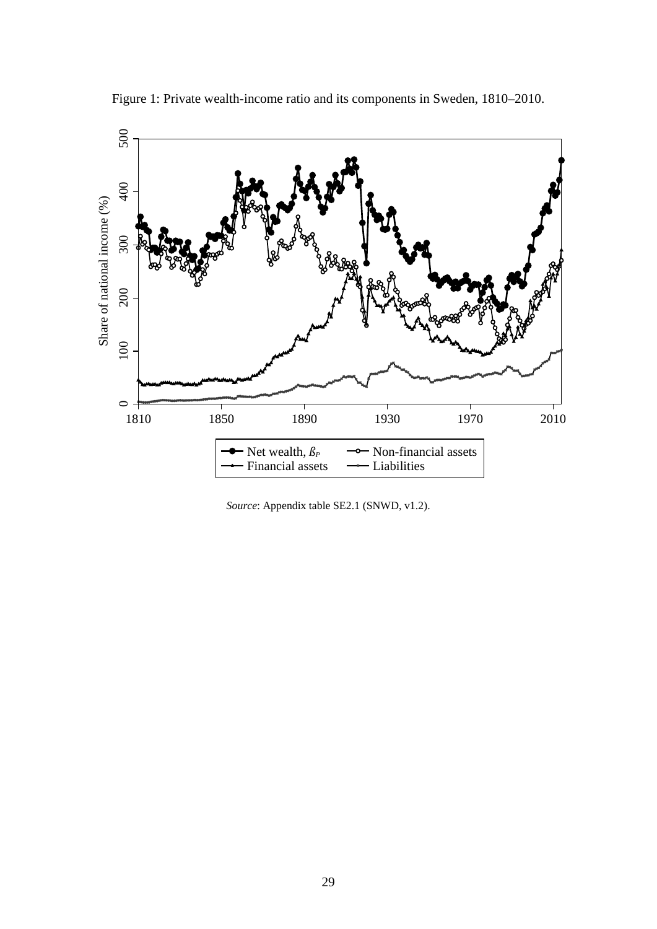<span id="page-31-0"></span>

Figure 1: Private wealth-income ratio and its components in Sweden, 1810–2010.

*Source*: Appendix table SE2.1 (SNWD, v1.2).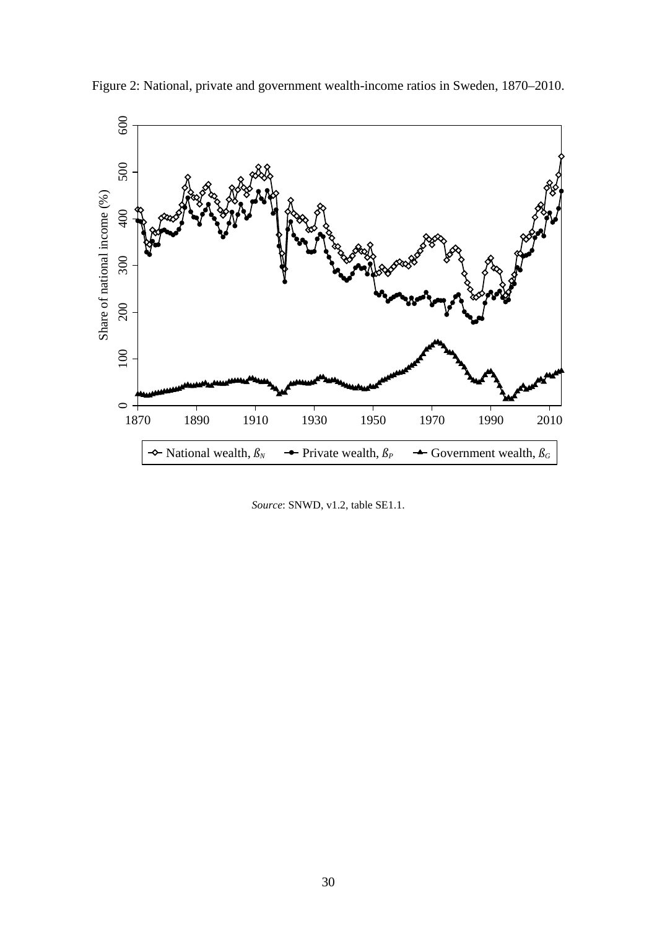

<span id="page-32-0"></span>Figure 2: National, private and government wealth-income ratios in Sweden, 1870–2010.

*Source*: SNWD, v1.2, table SE1.1.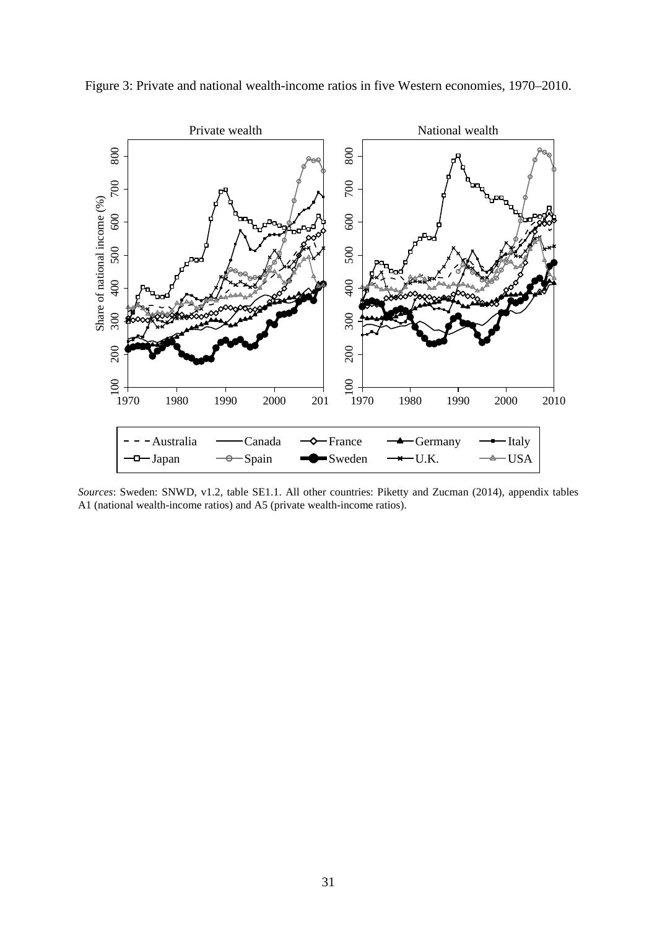

<span id="page-33-0"></span>Figure 3: Private and national wealth-income ratios in five Western economies, 1970–2010.

*Sources*: Sweden: SNWD, v1.2, table SE1.1. All other countries: Piketty and Zucman (2014), appendix tables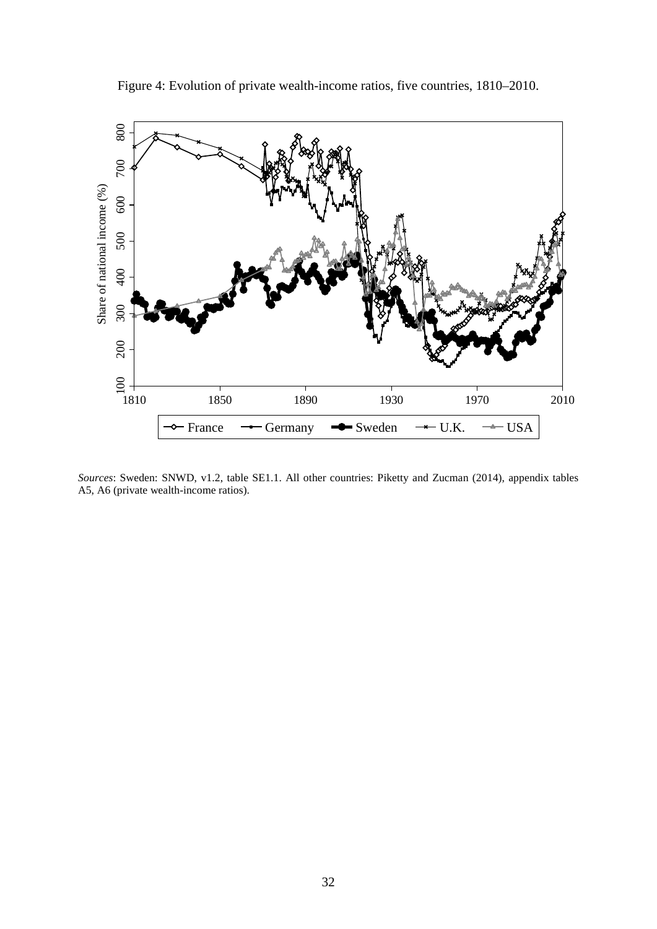<span id="page-34-0"></span>

Figure 4: Evolution of private wealth-income ratios, five countries, 1810–2010.

*Sources*: Sweden: SNWD, v1.2, table SE1.1. All other countries: Piketty and Zucman (2014), appendix tables A5, A6 (private wealth-income ratios).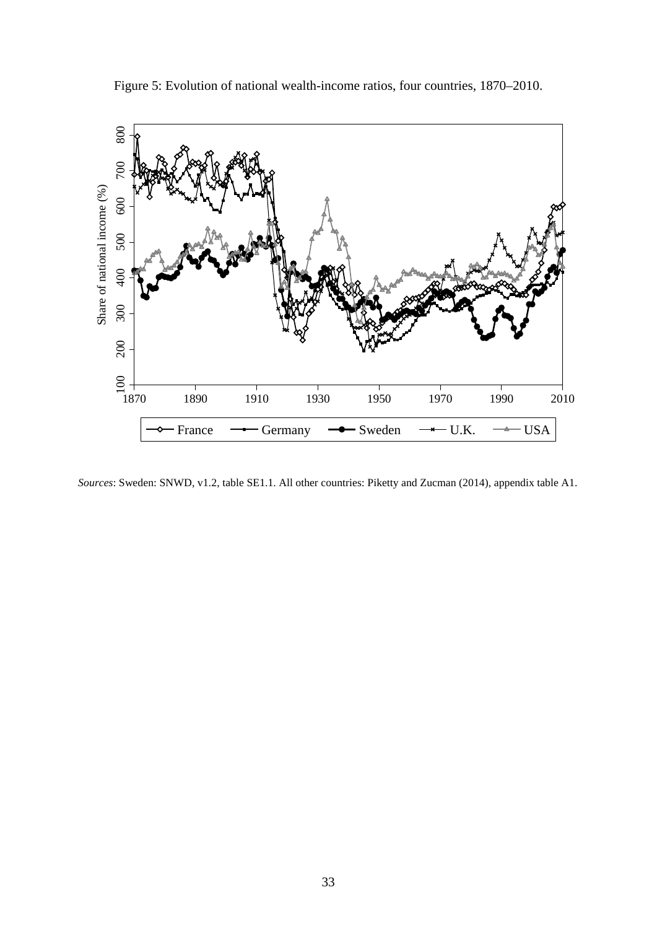<span id="page-35-0"></span>

Figure 5: Evolution of national wealth-income ratios, four countries, 1870–2010.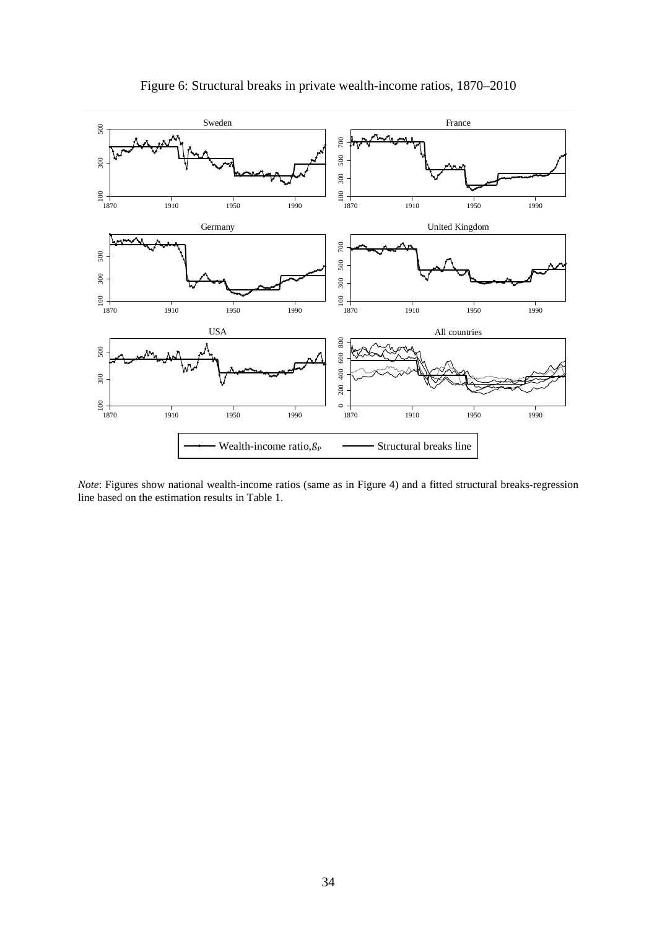

Figure 6: Structural breaks in private wealth-income ratios, 1870–2010

*Note*: Figures show national wealth-income ratios (same as in Figure 4) and a fitted structural breaks-regression line based on the estimation results in Table 1.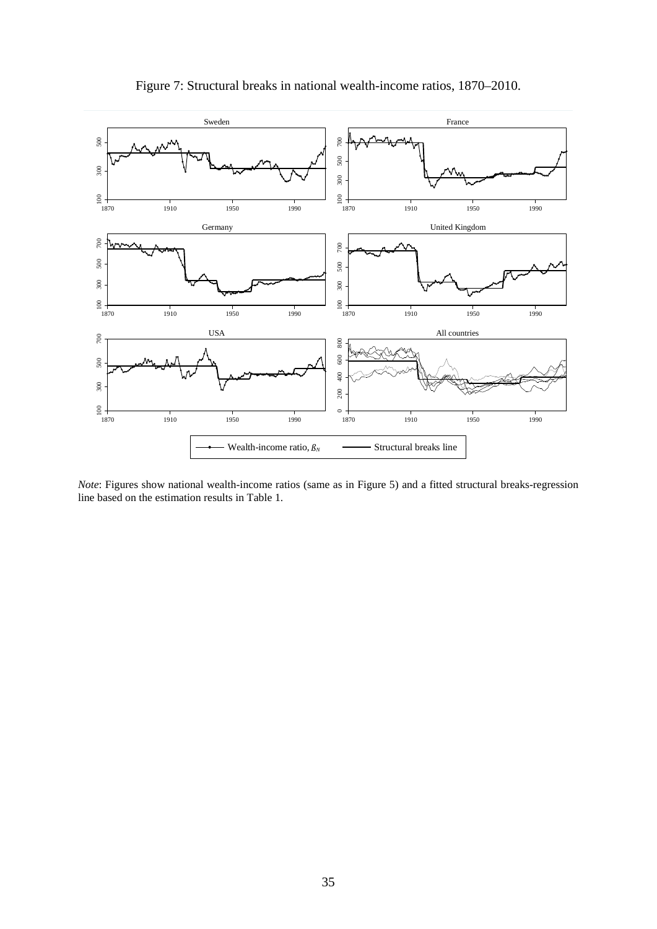

### Figure 7: Structural breaks in national wealth-income ratios, 1870–2010.

*Note*: Figures show national wealth-income ratios (same as in Figure 5) and a fitted structural breaks-regression line based on the estimation results in Table 1.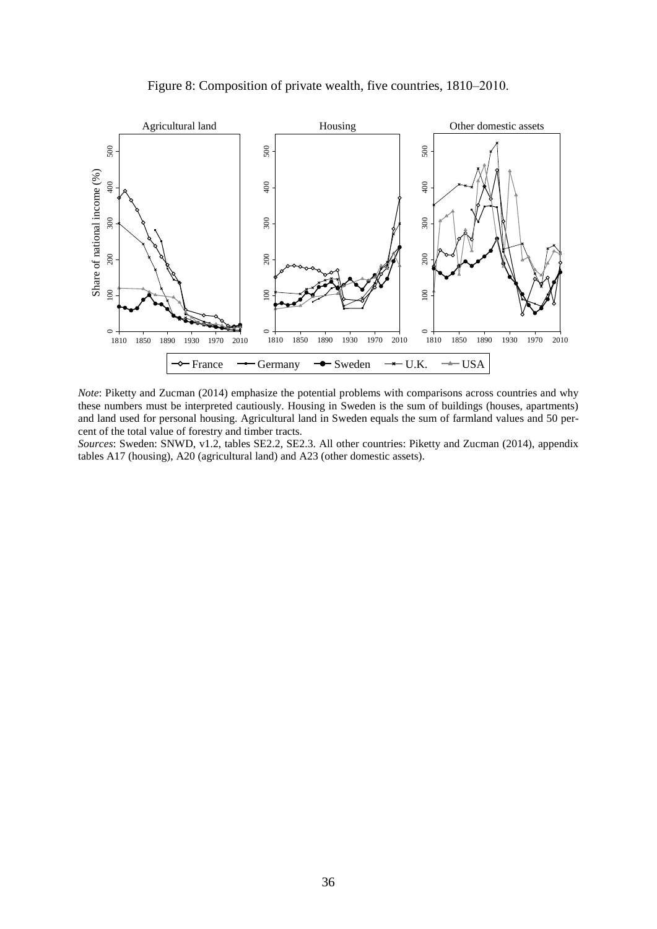



*Note*: Piketty and Zucman (2014) emphasize the potential problems with comparisons across countries and why these numbers must be interpreted cautiously. Housing in Sweden is the sum of buildings (houses, apartments) and land used for personal housing. Agricultural land in Sweden equals the sum of farmland values and 50 percent of the total value of forestry and timber tracts.

*Sources*: Sweden: SNWD, v1.2, tables SE2.2, SE2.3. All other countries: Piketty and Zucman (2014), appendix tables A17 (housing), A20 (agricultural land) and A23 (other domestic assets).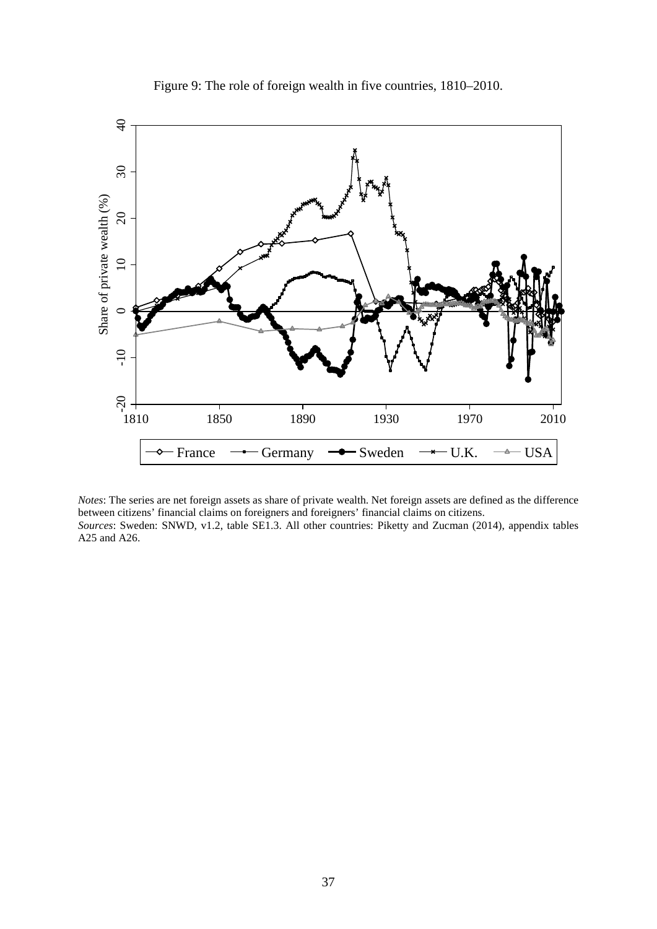<span id="page-39-0"></span>

Figure 9: The role of foreign wealth in five countries, 1810–2010.

*Notes*: The series are net foreign assets as share of private wealth. Net foreign assets are defined as the difference between citizens' financial claims on foreigners and foreigners' financial claims on citizens. *Sources*: Sweden: SNWD, v1.2, table SE1.3. All other countries: Piketty and Zucman (2014), appendix tables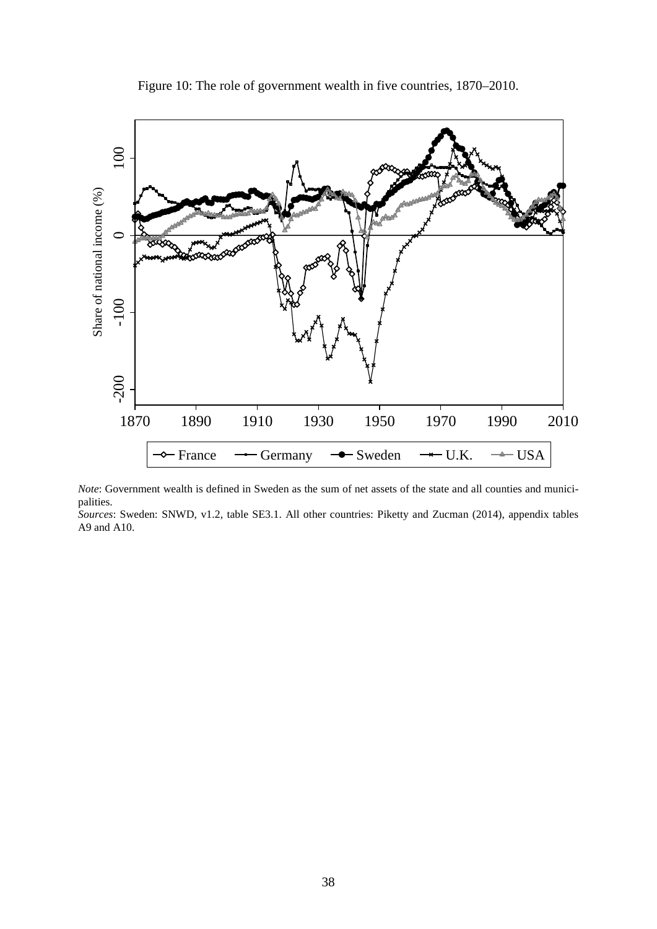<span id="page-40-0"></span>

Figure 10: The role of government wealth in five countries, 1870–2010.

*Note*: Government wealth is defined in Sweden as the sum of net assets of the state and all counties and municipalities.

*Sources*: Sweden: SNWD, v1.2, table SE3.1. All other countries: Piketty and Zucman (2014), appendix tables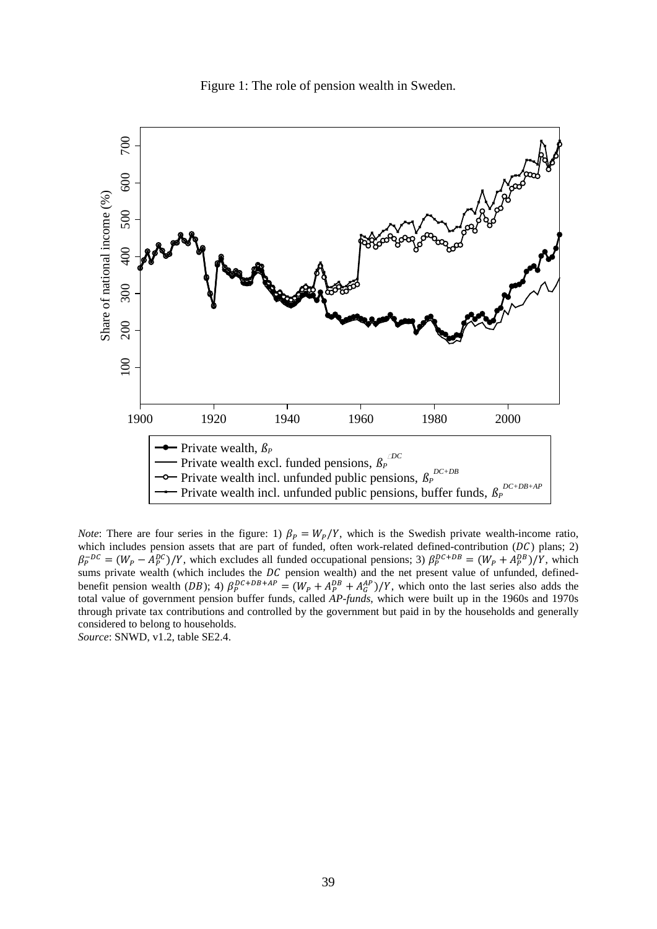Figure 1: The role of pension wealth in Sweden.

<span id="page-41-0"></span>

*Note*: There are four series in the figure: 1)  $\beta_P = W_P/Y$ , which is the Swedish private wealth-income ratio, which includes pension assets that are part of funded, often work-related defined-contribution  $(DC)$  plans; 2)  $\beta_P^{-DC} = (W_P - A_P^{DC})/Y$ , which excludes all funded occupational pensions; 3)  $\beta_P^{DC+DB} = (W_P + A_P^{DB})/Y$ , which sums private wealth (which includes the  $DC$  pension wealth) and the net present value of unfunded, definedbenefit pension wealth (DB); 4)  $\beta_P^{DC+DB+AP} = (W_P + A_P^{DB} + A_G^{AP})/Y$ , which onto the last series also adds the total value of government pension buffer funds, called *AP-funds*, which were built up in the 1960s and 1970s through private tax contributions and controlled by the government but paid in by the households and generally considered to belong to households.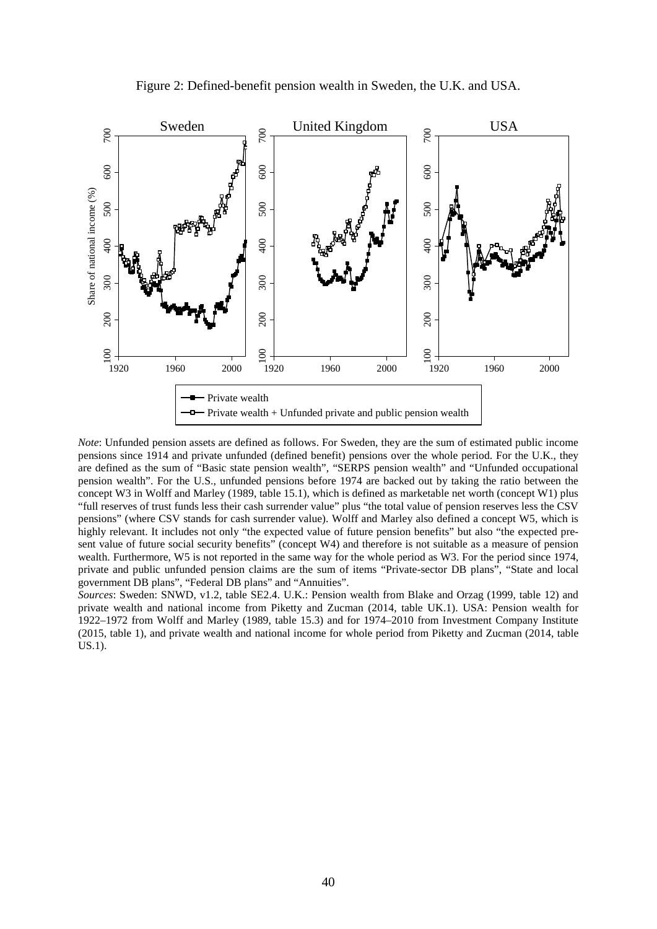<span id="page-42-0"></span>

Figure 2: Defined-benefit pension wealth in Sweden, the U.K. and USA.

*Note*: Unfunded pension assets are defined as follows. For Sweden, they are the sum of estimated public income pensions since 1914 and private unfunded (defined benefit) pensions over the whole period. For the U.K., they are defined as the sum of "Basic state pension wealth", "SERPS pension wealth" and "Unfunded occupational pension wealth". For the U.S., unfunded pensions before 1974 are backed out by taking the ratio between the concept W3 in Wolff and Marley (1989, table 15.1), which is defined as marketable net worth (concept W1) plus "full reserves of trust funds less their cash surrender value" plus "the total value of pension reserves less the CSV pensions" (where CSV stands for cash surrender value). Wolff and Marley also defined a concept W5, which is highly relevant. It includes not only "the expected value of future pension benefits" but also "the expected present value of future social security benefits" (concept W4) and therefore is not suitable as a measure of pension wealth. Furthermore, W5 is not reported in the same way for the whole period as W3. For the period since 1974, private and public unfunded pension claims are the sum of items "Private-sector DB plans", "State and local government DB plans", "Federal DB plans" and "Annuities".

*Sources*: Sweden: SNWD, v1.2, table SE2.4. U.K.: Pension wealth from Blake and Orzag (1999, table 12) and private wealth and national income from Piketty and Zucman (2014, table UK.1). USA: Pension wealth for 1922–1972 from Wolff and Marley (1989, table 15.3) and for 1974–2010 from Investment Company Institute (2015, table 1), and private wealth and national income for whole period from Piketty and Zucman (2014, table  $US.1$ ).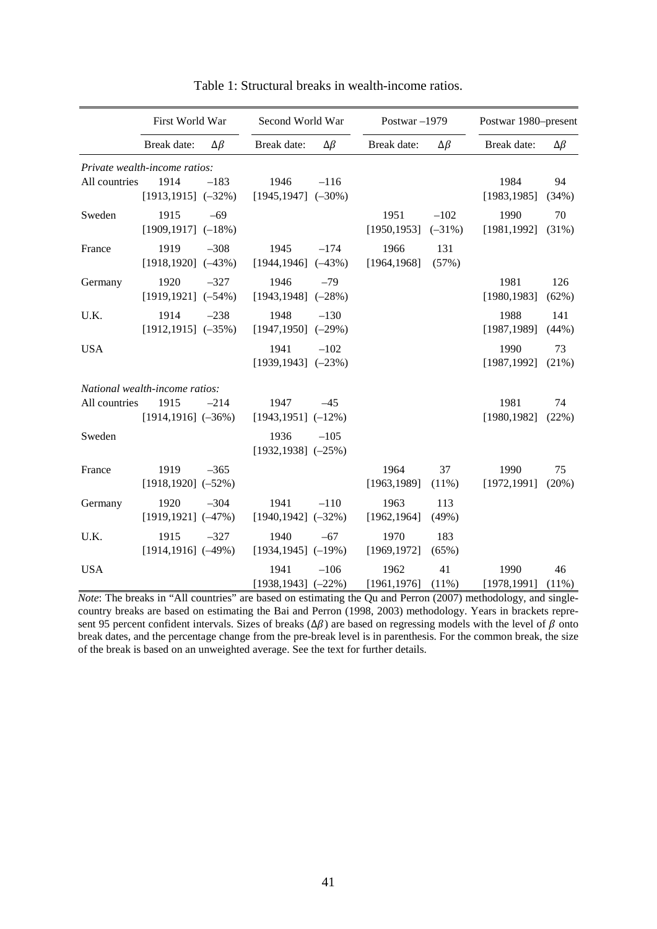|               | First World War                                                   |                | Second World War                 |                | Postwar-1979         |                     | Postwar 1980-present |                |  |
|---------------|-------------------------------------------------------------------|----------------|----------------------------------|----------------|----------------------|---------------------|----------------------|----------------|--|
|               | Break date:                                                       | $\Delta \beta$ | Break date:                      | $\Delta \beta$ | Break date:          | $\Delta \beta$      | Break date:          | $\Delta \beta$ |  |
| All countries | Private wealth-income ratios:<br>1914<br>$[1913, 1915]$ $(-32\%)$ | $-183$         | 1946<br>$[1945, 1947]$ $(-30\%)$ | $-116$         |                      |                     | 1984<br>[1983, 1985] | 94<br>(34%)    |  |
| Sweden        | 1915<br>$[1909, 1917]$ (-18%)                                     | $-69$          |                                  |                | 1951<br>[1950, 1953] | $-102$<br>$(-31\%)$ | 1990<br>[1981, 1992] | 70<br>$(31\%)$ |  |
| France        | 1919<br>$[1918, 1920]$ (-43%)                                     | $-308$         | 1945<br>$[1944, 1946]$ (-43%)    | $-174$         | 1966<br>[1964, 1968] | 131<br>(57%)        |                      |                |  |
| Germany       | 1920<br>$[1919, 1921]$ (-54%)                                     | $-327$         | 1946<br>$[1943, 1948]$ (-28%)    | $-79$          |                      |                     | 1981<br>[1980, 1983] | 126<br>(62%)   |  |
| U.K.          | 1914<br>$[1912, 1915]$ $(-35%)$                                   | $-238$         | 1948<br>$[1947, 1950]$ (-29%)    | $-130$         |                      |                     | 1988<br>[1987, 1989] | 141<br>(44%)   |  |
| <b>USA</b>    |                                                                   |                | 1941<br>$[1939, 1943]$ $(-23%)$  | $-102$         |                      |                     | 1990<br>[1987, 1992] | 73<br>(21%)    |  |
|               | National wealth-income ratios:                                    |                |                                  |                |                      |                     |                      |                |  |
| All countries | 1915<br>$[1914, 1916]$ (-36%)                                     | $-214$         | 1947<br>$[1943, 1951]$ $(-12\%)$ | $-45$          |                      |                     | 1981<br>[1980, 1982] | 74<br>(22%)    |  |
| Sweden        |                                                                   |                | 1936<br>$[1932, 1938]$ (-25%)    | $-105$         |                      |                     |                      |                |  |
| France        | 1919<br>$[1918, 1920]$ (-52%)                                     | $-365$         |                                  |                | 1964<br>[1963, 1989] | 37<br>(11%)         | 1990<br>[1972, 1991] | 75<br>$(20\%)$ |  |
| Germany       | 1920<br>$[1919, 1921]$ (-47%)                                     | $-304$         | 1941<br>$[1940, 1942]$ (-32%)    | $-110$         | 1963<br>[1962, 1964] | 113<br>(49%)        |                      |                |  |
| U.K.          | 1915<br>$[1914, 1916]$ (-49%)                                     | $-327$         | 1940<br>$[1934, 1945]$ (-19%)    | $-67$          | 1970<br>[1969, 1972] | 183<br>(65%)        |                      |                |  |
| <b>USA</b>    |                                                                   |                | 1941<br>$[1938, 1943]$ (-22%)    | $-106$         | 1962<br>[1961, 1976] | 41<br>(11%)         | 1990<br>[1978, 1991] | 46<br>$(11\%)$ |  |

Table 1: Structural breaks in wealth-income ratios.

*Note*: The breaks in "All countries" are based on estimating the Qu and Perron (2007) methodology, and singlecountry breaks are based on estimating the Bai and Perron (1998, 2003) methodology. Years in brackets represent 95 percent confident intervals. Sizes of breaks  $(\Delta \beta)$  are based on regressing models with the level of  $\beta$  onto break dates, and the percentage change from the pre-break level is in parenthesis. For the common break, the size of the break is based on an unweighted average. See the text for further details.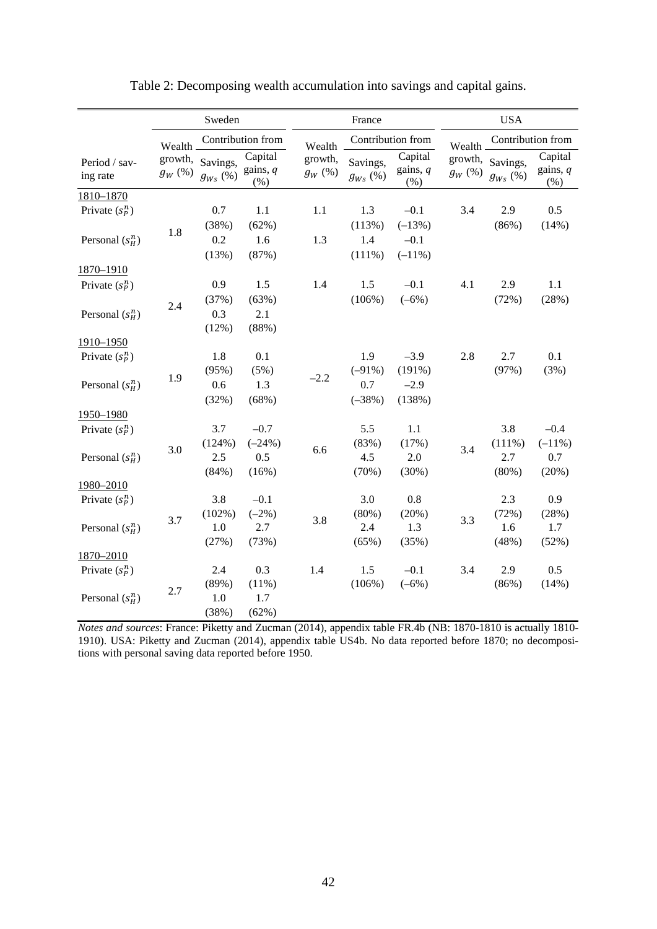<span id="page-44-0"></span>

|                           | Sweden       |                                                                   |                             |                      | France                               |                               | <b>USA</b>              |                              |                                 |  |
|---------------------------|--------------|-------------------------------------------------------------------|-----------------------------|----------------------|--------------------------------------|-------------------------------|-------------------------|------------------------------|---------------------------------|--|
|                           | Wealth.      | Contribution from                                                 |                             |                      | Contribution from<br>Wealth          |                               |                         | Contribution from<br>Wealth. |                                 |  |
| Period / sav-<br>ing rate | $g_W\, (\%)$ | growth, Savings,<br>$g_{\scriptscriptstyle Ws} \left( \% \right)$ | Capital<br>gains, q<br>(% ) | growth,<br>$g_W$ $%$ | Savings,<br>$g_{Ws}\left(\% \right)$ | Capital<br>gains, $q$<br>(% ) | growth,<br>$g_W\, (\%)$ | Savings,<br>$g_{Ws}(\%)$     | Capital<br>gains, $q$<br>$(\%)$ |  |
| 1810-1870                 |              |                                                                   |                             |                      |                                      |                               |                         |                              |                                 |  |
| Private $(s_p^n)$         |              | 0.7                                                               | 1.1                         | 1.1                  | 1.3                                  | $-0.1$                        | 3.4                     | 2.9                          | 0.5                             |  |
|                           | 1.8          | (38%)                                                             | (62%)                       |                      | (113%)                               | $(-13%)$                      |                         | (86%)                        | (14%)                           |  |
| Personal $(s_H^n)$        |              | 0.2                                                               | 1.6                         | 1.3                  | 1.4                                  | $-0.1$                        |                         |                              |                                 |  |
|                           |              | (13%)                                                             | (87%)                       |                      | $(111\%)$                            | $(-11\%)$                     |                         |                              |                                 |  |
| 1870-1910                 |              |                                                                   |                             |                      |                                      |                               |                         |                              |                                 |  |
| Private $(s_p^n)$         |              | 0.9                                                               | 1.5                         | 1.4                  | 1.5                                  | $-0.1$                        | 4.1                     | 2.9                          | 1.1                             |  |
|                           |              | (37%)                                                             | (63%)                       |                      | (106%)                               | $(-6%)$                       |                         | (72%)                        | (28%)                           |  |
| Personal $(s_H^n)$        | 2.4          | 0.3                                                               | 2.1                         |                      |                                      |                               |                         |                              |                                 |  |
|                           |              | (12%)                                                             | (88%)                       |                      |                                      |                               |                         |                              |                                 |  |
| 1910-1950                 |              |                                                                   |                             |                      |                                      |                               |                         |                              |                                 |  |
| Private $(s_p^n)$         |              | 1.8                                                               | 0.1                         |                      | 1.9                                  | $-3.9$                        | 2.8                     | 2.7                          | 0.1                             |  |
|                           |              | (95%)                                                             | (5%)                        |                      | $(-91\%)$                            | (191%)                        |                         | (97%)                        | (3%)                            |  |
| Personal $(s_n^n)$        | 1.9          | 0.6                                                               | 1.3                         | $-2.2$               | 0.7                                  | $-2.9$                        |                         |                              |                                 |  |
|                           |              | (32%)                                                             | (68%)                       |                      | $(-38%)$                             | (138%)                        |                         |                              |                                 |  |
| 1950-1980                 |              |                                                                   |                             |                      |                                      |                               |                         |                              |                                 |  |
| Private $(s_p^n)$         |              | 3.7                                                               | $-0.7$                      |                      | 5.5                                  | 1.1                           |                         | 3.8                          | $-0.4$                          |  |
|                           |              | (124%)                                                            | $(-24%)$                    |                      | (83%)                                | (17%)                         | 3.4                     | $(111\%)$                    | $(-11\%)$                       |  |
| Personal $(s_n^n)$        | 3.0          | 2.5                                                               | 0.5                         | 6.6                  | 4.5                                  | 2.0                           |                         | 2.7                          | 0.7                             |  |
|                           |              | (84%)                                                             | (16%)                       |                      | (70%)                                | (30%)                         |                         | $(80\%)$                     | (20%)                           |  |
| 1980-2010                 |              |                                                                   |                             |                      |                                      |                               |                         |                              |                                 |  |
| Private $(s_p^n)$         |              | 3.8                                                               | $-0.1$                      |                      | 3.0                                  | $0.8\,$                       |                         | 2.3                          | 0.9                             |  |
|                           | 3.7          | (102%)                                                            | $(-2%)$                     | 3.8                  | (80%)                                | (20%)                         | 3.3                     | (72%)                        | (28%)                           |  |
| Personal $(s_n^n)$        |              | $1.0\,$                                                           | 2.7                         |                      | 2.4                                  | 1.3                           |                         | 1.6                          | 1.7                             |  |
|                           |              | (27%)                                                             | (73%)                       |                      | (65%)                                | (35%)                         |                         | (48%)                        | (52%)                           |  |
| 1870-2010                 |              |                                                                   |                             |                      |                                      |                               |                         |                              |                                 |  |
| Private $(s_p^n)$         |              | 2.4                                                               | 0.3                         | 1.4                  | 1.5                                  | $-0.1$                        | 3.4                     | 2.9                          | 0.5                             |  |
|                           | 2.7          | (89%)                                                             | $(11\%)$                    |                      | (106%)                               | $(-6%)$                       |                         | (86%)                        | (14%)                           |  |
| Personal $(s_H^n)$        |              | 1.0                                                               | 1.7                         |                      |                                      |                               |                         |                              |                                 |  |
|                           |              | (38%)                                                             | (62%)                       |                      |                                      |                               |                         |                              |                                 |  |

| Table 2: Decomposing wealth accumulation into savings and capital gains. |  |  |
|--------------------------------------------------------------------------|--|--|
|--------------------------------------------------------------------------|--|--|

*Notes and sources*: France: Piketty and Zucman (2014), appendix table FR.4b (NB: 1870-1810 is actually 1810- 1910). USA: Piketty and Zucman (2014), appendix table US4b. No data reported before 1870; no decompositions with personal saving data reported before 1950.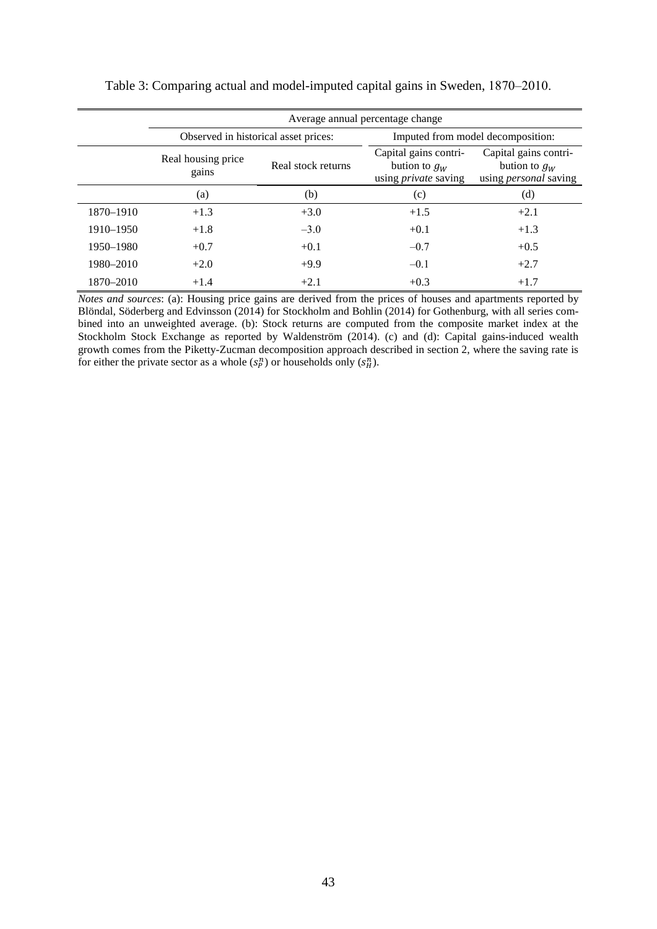|           | Average annual percentage change |                                      |                                                                         |                                                                          |  |  |  |  |  |  |
|-----------|----------------------------------|--------------------------------------|-------------------------------------------------------------------------|--------------------------------------------------------------------------|--|--|--|--|--|--|
|           |                                  | Observed in historical asset prices: | Imputed from model decomposition:                                       |                                                                          |  |  |  |  |  |  |
|           | Real housing price<br>gains      | Real stock returns                   | Capital gains contri-<br>bution to $g_W$<br>using <i>private</i> saving | Capital gains contri-<br>bution to $g_W$<br>using <i>personal</i> saving |  |  |  |  |  |  |
|           | (a)                              | (b)                                  | (c)                                                                     | (d)                                                                      |  |  |  |  |  |  |
| 1870–1910 | $+1.3$                           | $+3.0$                               | $+1.5$                                                                  | $+2.1$                                                                   |  |  |  |  |  |  |
| 1910–1950 | $+1.8$                           | $-3.0$                               | $+0.1$                                                                  | $+1.3$                                                                   |  |  |  |  |  |  |
| 1950–1980 | $+0.7$                           | $+0.1$                               | $-0.7$                                                                  | $+0.5$                                                                   |  |  |  |  |  |  |
| 1980–2010 | $+2.0$                           | $+9.9$                               | $-0.1$                                                                  | $+2.7$                                                                   |  |  |  |  |  |  |
| 1870-2010 | $+1.4$                           | $+2.1$                               | $+0.3$                                                                  | $+1.7$                                                                   |  |  |  |  |  |  |

*Notes and sources*: (a): Housing price gains are derived from the prices of houses and apartments reported by Blöndal, Söderberg and Edvinsson (2014) for Stockholm and Bohlin (2014) for Gothenburg, with all series combined into an unweighted average. (b): Stock returns are computed from the composite market index at the Stockholm Stock Exchange as reported by Waldenström (2014). (c) and (d): Capital gains-induced wealth growth comes from the Piketty-Zucman decomposition approach described in section 2, where the saving rate is for either the private sector as a whole  $(s_p^n)$  or households only  $(s_n^n)$ .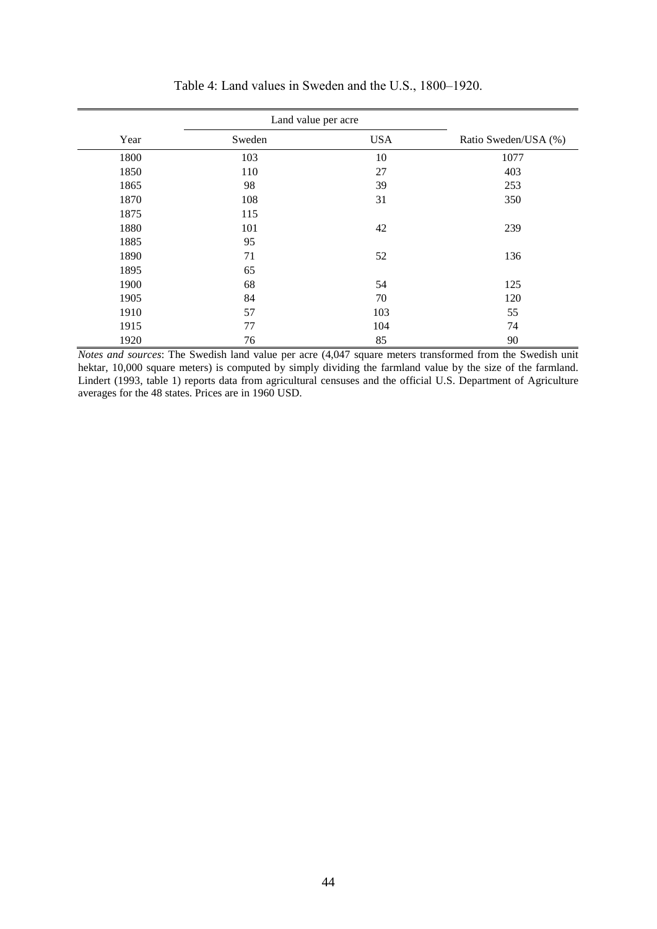|      | Land value per acre |            |                      |
|------|---------------------|------------|----------------------|
| Year | Sweden              | <b>USA</b> | Ratio Sweden/USA (%) |
| 1800 | 103                 | 10         | 1077                 |
| 1850 | 110                 | 27         | 403                  |
| 1865 | 98                  | 39         | 253                  |
| 1870 | 108                 | 31         | 350                  |
| 1875 | 115                 |            |                      |
| 1880 | 101                 | 42         | 239                  |
| 1885 | 95                  |            |                      |
| 1890 | 71                  | 52         | 136                  |
| 1895 | 65                  |            |                      |
| 1900 | 68                  | 54         | 125                  |
| 1905 | 84                  | 70         | 120                  |
| 1910 | 57                  | 103        | 55                   |
| 1915 | 77                  | 104        | 74                   |
| 1920 | 76                  | 85         | 90                   |

Table 4: Land values in Sweden and the U.S., 1800–1920.

*Notes and sources*: The Swedish land value per acre (4,047 square meters transformed from the Swedish unit hektar, 10,000 square meters) is computed by simply dividing the farmland value by the size of the farmland. Lindert (1993, table 1) reports data from agricultural censuses and the official U.S. Department of Agriculture averages for the 48 states. Prices are in 1960 USD.